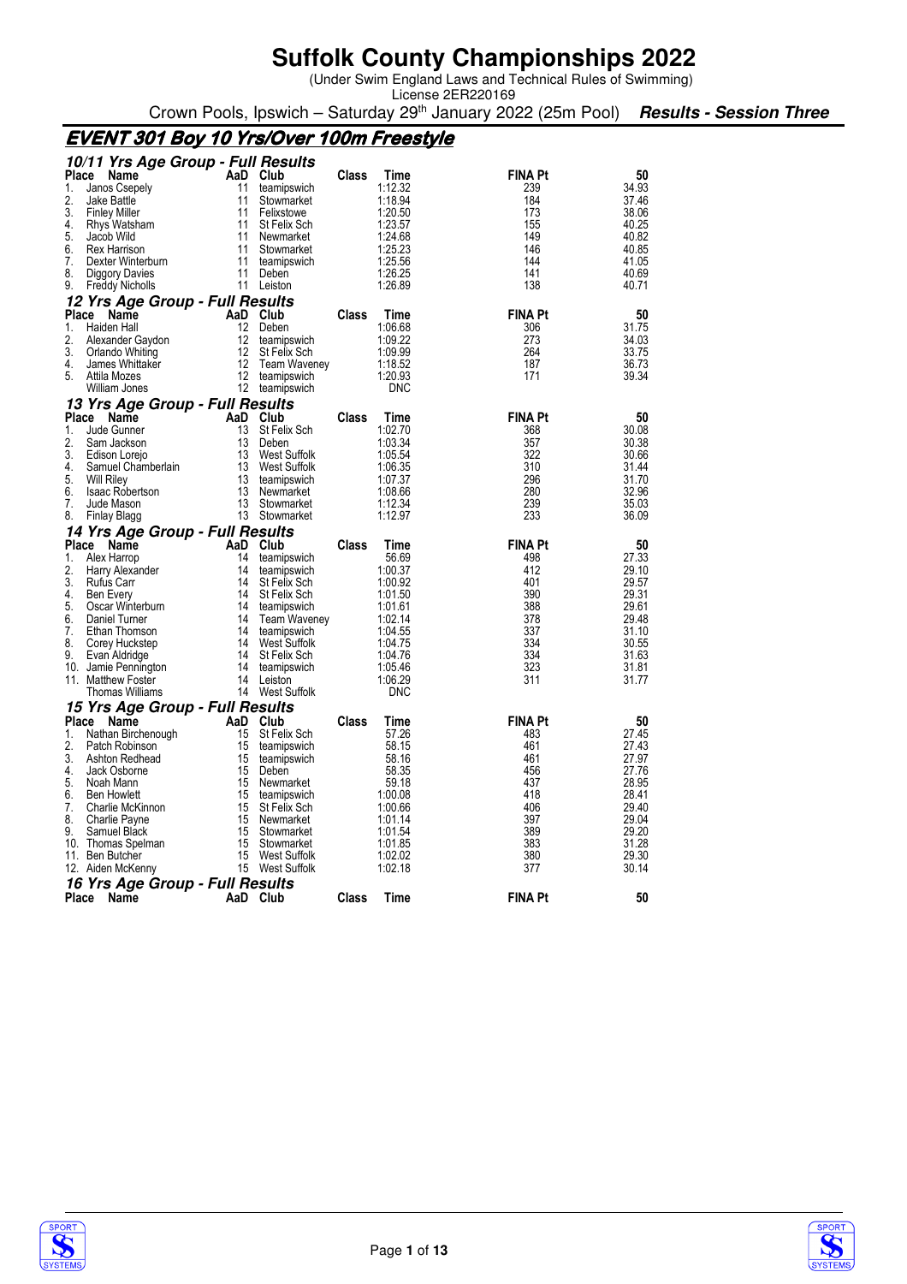(Under Swim England Laws and Technical Rules of Swimming)

License 2ER220169 Crown Pools, Ipswich – Saturday 29<sup>th</sup> January 2022 (25m Pool) **Results - Session Three** 

## **EVENT 301 Boy 10 Yrs/Over 100m Freestyle**

|              | 10/11 Yrs Age Group - Full Results         |          |                        |       |                       |                |                |
|--------------|--------------------------------------------|----------|------------------------|-------|-----------------------|----------------|----------------|
| <b>Place</b> | Name                                       |          | AaD Club               | Class | Time                  | <b>FINA Pt</b> | 50             |
| 1.           | Janos Csepely                              | 11       | teamipswich            |       | 1:12.32               | 239            | 34.93          |
| 2.           | Jake Battle                                | 11       | Stowmarket             |       | 1:18.94               | 184            | 37.46          |
| 3.           | <b>Finley Miller</b>                       | 11       | Felixstowe             |       | 1:20.50               | 173            | 38.06          |
| 4.           | Rhys Watsham                               | 11       | St Felix Sch           |       | 1:23.57               | 155            | 40.25          |
| 5.           | Jacob Wild                                 | 11       | Newmarket              |       | 1:24.68               | 149            | 40.82          |
| 6.           | Rex Harrison                               | 11       | Stowmarket             |       | 1:25.23               | 146            | 40.85          |
| 7.           | Dexter Winterburn                          | 11       | teamipswich            |       | 1:25.56               | 144            | 41.05          |
| 8.           | Diggory Davies                             | 11       | Deben                  |       | 1:26.25               | 141            | 40.69          |
| 9.           | <b>Freddy Nicholls</b>                     | 11       | Leiston                |       | 1:26.89               | 138            | 40.71          |
|              | 12 Yrs Age Group - Full Results            |          |                        |       |                       |                |                |
| <b>Place</b> | Name                                       | AaD      | Club                   | Class | Time                  | <b>FINA Pt</b> | 50             |
| 1.           | Haiden Hall                                | 12       | Deben                  |       | 1:06.68               | 306            | 31.75          |
| 2.           | Alexander Gaydon                           | 12       | teamipswich            |       | 1:09.22               | 273            | 34.03          |
| 3.           | Orlando Whiting                            | 12       | St Felix Sch           |       | 1:09.99               | 264            | 33.75          |
| 4.<br>5.     | James Whittaker                            | 12       | <b>Team Waveney</b>    |       | 1:18.52               | 187            | 36.73          |
|              | Attila Mozes<br>William Jones              | 12<br>12 | teamipswich            |       | 1.20.93<br><b>DNC</b> | 171            | 39.34          |
|              |                                            |          | teamipswich            |       |                       |                |                |
| <b>Place</b> | 13 Yrs Age Group - Full Results            | AaD      | Club                   | Class |                       | <b>FINA Pt</b> |                |
| 1.           | Name<br>Jude Gunner                        | 13       |                        |       | Time<br>1:02.70       | 368            | 50<br>30.08    |
| 2.           | Sam Jackson                                | 13       | St Felix Sch<br>Deben  |       | 1:03.34               | 357            | 30.38          |
| 3.           | Edison Lorejo                              | 13       | West Suffolk           |       | 1:05.54               | 322            | 30.66          |
| 4.           | Samuel Chamberlain                         | 13       | <b>West Suffolk</b>    |       | 1:06.35               | 310            | 31.44          |
| 5.           | <b>Will Riley</b>                          | 13       | teamipswich            |       | 1:07.37               | 296            | 31.70          |
| 6.           | <b>Isaac Robertson</b>                     | 13       | Newmarket              |       | 1:08.66               | 280            | 32.96          |
| 7.           | Jude Mason                                 | 13       | Stowmarket             |       | 1:12.34               | 239            | 35.03          |
| 8.           | Finlay Blagg                               |          | 13 Stowmarket          |       | 1:12.97               | 233            | 36.09          |
|              | 14 Yrs Age Group - Full Results            |          |                        |       |                       |                |                |
| Place        | Name                                       | AaD      | Club                   | Class | Time                  | <b>FINA Pt</b> | 50             |
| 1.           | Alex Harrop                                | 14       | teamipswich            |       | 56.69                 | 498            | 27.33          |
| 2.           | Harry Alexander                            | 14       | teamipswich            |       | 1:00.37               | 412            | 29.10          |
| 3.           | Rufus Carr                                 | 14       | St Felix Sch           |       | 1:00.92               | 401            | 29.57          |
| 4.           | Ben Every                                  | 14       | St Felix Sch           |       | 1:01.50               | 390            | 29.31          |
| 5.           | Oscar Winterburn                           | 14       | teamipswich            |       | 1:01.61               | 388            | 29.61          |
| 6.           | Daniel Turner                              | 14       | <b>Team Waveney</b>    |       | 1:02.14               | 378            | 29.48          |
| 7.           | Ethan Thomson                              | 14       | teamipswich            |       | 1:04.55               | 337            | 31.10          |
| 8.<br>9.     | Corey Huckstep                             | 14<br>14 | West Suffolk           |       | 1:04.75               | 334            | 30.55          |
|              | Evan Aldridge                              | 14       | St Felix Sch           |       | 1:04.76<br>1:05.46    | 334<br>323     | 31.63<br>31.81 |
|              | 10. Jamie Pennington<br>11. Matthew Foster | 14       | teamipswich<br>Leiston |       | 1:06.29               | 311            | 31.77          |
|              | Thomas Williams                            |          | 14 West Suffolk        |       | <b>DNC</b>            |                |                |
|              | 15 Yrs Age Group - Full Results            |          |                        |       |                       |                |                |
| <b>Place</b> | Name                                       | AaD      | Club                   | Class | Time                  | <b>FINA Pt</b> | 50             |
| 1.           | Nathan Birchenough                         | 15       | St Felix Sch           |       | 57.26                 | 483            | 27.45          |
| 2.           | Patch Robinson                             | 15       | teamipswich            |       | 58.15                 | 461            | 27.43          |
| 3.           | Ashton Redhead                             | 15       | teamipswich            |       | 58.16                 | 461            | 27.97          |
| 4.           | Jack Osborne                               | 15       | Deben                  |       | 58.35                 | 456            | 27.76          |
| 5.           | Noah Mann                                  | 15       | Newmarket              |       | 59.18                 | 437            | 28.95          |
| 6.           | <b>Ben Howlett</b>                         | 15       | teamipswich            |       | 1:00.08               | 418            | 28.41          |
| 7.           | Charlie McKinnon                           | 15       | St Felix Sch           |       | 1:00.66               | 406            | 29.40          |
| 8.           | Charlie Payne                              | 15       | Newmarket              |       | 1:01.14               | 397            | 29.04          |
| 9.           | Samuel Black                               | 15       | Stowmarket             |       | 1:01.54               | 389            | 29.20          |
|              | 10. Thomas Spelman                         | 15       | Stowmarket             |       | 1:01.85               | 383            | 31.28          |
| 11.          | Ben Butcher                                | 15       | <b>West Suffolk</b>    |       | 1:02.02               | 380            | 29.30          |
|              | 12. Aiden McKenny                          | 15       | West Suffolk           |       | 1:02.18               | 377            | 30.14          |
|              | 16 Yrs Age Group - Full Results            |          |                        |       |                       |                |                |
| Place        | Name                                       |          | AaD Club               | Class | Time                  | <b>FINA Pt</b> | 50             |
|              |                                            |          |                        |       |                       |                |                |



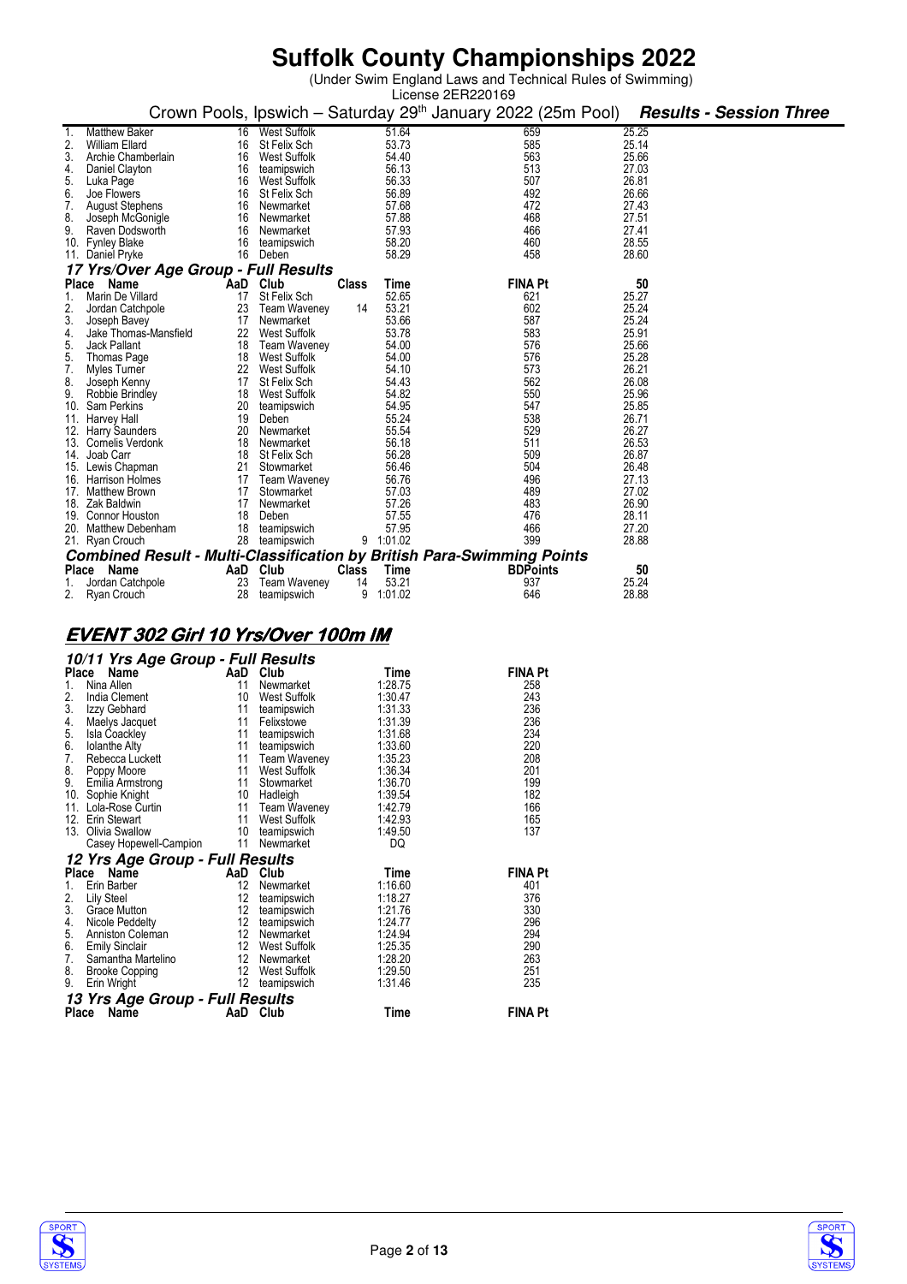(Under Swim England Laws and Technical Rules of Swimming)

|          | License 2ER220169                        |          |                               |              |                |                                                                                                  |                |                                |  |  |
|----------|------------------------------------------|----------|-------------------------------|--------------|----------------|--------------------------------------------------------------------------------------------------|----------------|--------------------------------|--|--|
|          |                                          |          |                               |              |                | Crown Pools, Ipswich - Saturday 29 <sup>th</sup> January 2022 (25m Pool)                         |                | <b>Results - Session Three</b> |  |  |
|          | <b>Matthew Baker</b>                     | 16       | <b>West Suffolk</b>           |              | 51.64          | 659                                                                                              | 25.25          |                                |  |  |
| 2.       | <b>William Ellard</b>                    | 16       | St Felix Sch                  |              | 53.73          | 585                                                                                              | 25.14          |                                |  |  |
| 3.       | Archie Chamberlain                       |          | 16 West Suffolk               |              | 54.40          | 563                                                                                              | 25.66          |                                |  |  |
| 4.       | Daniel Clayton                           | 16       | teamipswich                   |              | 56.13          | 513                                                                                              | 27.03          |                                |  |  |
| 5.       | Luka Page                                | 16       | West Suffolk                  |              | 56.33          | 507                                                                                              | 26.81          |                                |  |  |
| 6.<br>7. | Joe Flowers                              | 16       | St Felix Sch                  |              | 56.89          | 492                                                                                              | 26.66          |                                |  |  |
|          | <b>August Stephens</b>                   |          | 16 Newmarket                  |              | 57.68          | 472                                                                                              | 27.43          |                                |  |  |
| 8.       | Joseph McGonigle                         | 16       | Newmarket                     |              | 57.88          | 468                                                                                              | 27.51          |                                |  |  |
| 9.       | Raven Dodsworth                          | 16       | Newmarket                     |              | 57.93          | 466                                                                                              | 27.41          |                                |  |  |
|          | 10. Fynley Blake                         | 16       | teamipswich                   |              | 58.20          | 460                                                                                              | 28.55          |                                |  |  |
|          | 11. Daniel Pryke                         | 16       | Deben                         |              | 58.29          | 458                                                                                              | 28.60          |                                |  |  |
|          | 17 Yrs/Over Age Group - Full Results     |          |                               |              |                |                                                                                                  |                |                                |  |  |
| Place    | Name                                     |          | AaD Club                      | <b>Class</b> | Time           | <b>FINA Pt</b>                                                                                   | 50             |                                |  |  |
| 1.       | Marin De Villard                         | 17       | St Felix Sch                  |              | 52.65          | 621                                                                                              | 25.27          |                                |  |  |
| 2.       | Jordan Catchpole                         | 23       | Team Waveney                  | 14           | 53.21          | 602                                                                                              | 25.24          |                                |  |  |
| 3.       | Joseph Bavey                             | 17       | Newmarket                     |              | 53.66          | 587                                                                                              | 25.24          |                                |  |  |
| 4.       | Jake Thomas-Mansfield                    | 22       | <b>West Suffolk</b>           |              | 53.78          | 583                                                                                              | 25.91          |                                |  |  |
| 5.       | Jack Pallant                             | 18       | Team Waveney                  |              | 54.00          | 576                                                                                              | 25.66          |                                |  |  |
| 5.       | Thomas Page                              |          | 18 West Suffolk               |              | 54.00          | 576                                                                                              | 25.28          |                                |  |  |
| 7.       | Myles Turner                             |          | 22 West Suffolk               |              | 54.10          | 573                                                                                              | 26.21          |                                |  |  |
| 8.       | Joseph Kenny                             | 17       | St Felix Sch                  |              | 54.43          | 562                                                                                              | 26.08          |                                |  |  |
| 9.       | Robbie Brindley                          | 18       | West Suffolk                  |              | 54.82          | 550                                                                                              | 25.96          |                                |  |  |
|          | 10. Sam Perkins                          | 20       | teamipswich                   |              | 54.95          | 547                                                                                              | 25.85          |                                |  |  |
|          | 11. Harvey Hall                          | 19       | Deben                         |              | 55.24          | 538                                                                                              | 26.71          |                                |  |  |
|          | 12. Harry Saunders                       | 20       | Newmarket                     |              | 55.54          | 529                                                                                              | 26.27          |                                |  |  |
|          | 13. Comelis Verdonk                      | 18       | Newmarket                     |              | 56.18          | 511                                                                                              | 26.53          |                                |  |  |
|          | 14. Joab Carr                            |          | 18 St Felix Sch               |              | 56.28          | 509                                                                                              | 26.87          |                                |  |  |
|          | 15. Lewis Chapman<br>16. Harrison Holmes |          | 21 Stowmarket                 |              | 56.46<br>56.76 | 504<br>496                                                                                       | 26.48<br>27.13 |                                |  |  |
|          |                                          |          | 17 Team Waveney<br>Stowmarket |              |                | 489                                                                                              |                |                                |  |  |
|          | 17. Matthew Brown<br>18. Zak Baldwin     | 17<br>17 | Newmarket                     |              | 57.03<br>57.26 | 483                                                                                              | 27.02<br>26.90 |                                |  |  |
|          | 19. Connor Houston                       | 18       | Deben                         |              | 57.55          | 476                                                                                              | 28.11          |                                |  |  |
|          | 20. Matthew Debenham                     | 18       | teamipswich                   |              | 57.95          | 466                                                                                              | 27.20          |                                |  |  |
|          |                                          |          | 28 teamipswich                |              | 9 1:01.02      | 399                                                                                              | 28.88          |                                |  |  |
|          | 21. Ryan Crouch                          |          |                               |              |                |                                                                                                  |                |                                |  |  |
|          | Name                                     |          |                               | <b>Class</b> |                | <b>Combined Result - Multi-Classification by British Para-Swimming Points</b><br><b>BDPoints</b> | 50             |                                |  |  |
| Place    |                                          |          | AaD Club                      |              | Time           |                                                                                                  |                |                                |  |  |
| 1.       | Jordan Catchpole                         | 23       | <b>Team Waveney</b>           | 14           | 53.21          | 937<br>646                                                                                       | 25.24          |                                |  |  |
| 2.       | Ryan Crouch                              | 28       | teamipswich                   | 9            | 1:01.02        |                                                                                                  | 28.88          |                                |  |  |

### **EVENT302 Girl 10 Yrs/Over 100m IM 302 100m IM**

|              | 10/11 Yrs Age Group - Full Results |                  |                     |         |                |  |  |  |  |  |  |  |
|--------------|------------------------------------|------------------|---------------------|---------|----------------|--|--|--|--|--|--|--|
| <b>Place</b> | Name                               | AaD              | Club                | Time    | <b>FINA Pt</b> |  |  |  |  |  |  |  |
| $1_{-}$      | Nina Allen                         | 11               | Newmarket           | 1:28.75 | 258            |  |  |  |  |  |  |  |
| 2.           | India Clement                      | 10               | West Suffolk        | 1:30.47 | 243            |  |  |  |  |  |  |  |
| 3.           | Izzy Gebhard                       | 11               | teamipswich         | 1:31.33 | 236            |  |  |  |  |  |  |  |
| 4.           | Maelys Jacquet                     | 11               | Felixstowe          | 1:31.39 | 236            |  |  |  |  |  |  |  |
| 5.           | <b>Isla Coackley</b>               | 11               | teamipswich         | 1:31.68 | 234            |  |  |  |  |  |  |  |
| 6.           | <b>Iolanthe Alty</b>               | 11               | teamipswich         | 1:33.60 | 220            |  |  |  |  |  |  |  |
| 7.           | Rebecca Luckett                    | 11               | <b>Team Waveney</b> | 1:35.23 | 208            |  |  |  |  |  |  |  |
| 8.           | Poppy Moore                        | 11               | West Suffolk        | 1:36.34 | 201            |  |  |  |  |  |  |  |
| 9.           | Emilia Armstrong                   | 11               | Stowmarket          | 1:36.70 | 199            |  |  |  |  |  |  |  |
| 10.          | Sophie Knight                      | 10               | Hadleigh            | 1:39.54 | 182            |  |  |  |  |  |  |  |
| 11.          | Lola-Rose Curtin                   | 11               | Team Waveney        | 1:42.79 | 166            |  |  |  |  |  |  |  |
| 12.          | Erin Stewart                       | 11               | West Suffolk        | 1:42.93 | 165            |  |  |  |  |  |  |  |
| 13.          | Olivia Swallow                     | 10               | teamipswich         | 1:49.50 | 137            |  |  |  |  |  |  |  |
|              | Casey Hopewell-Campion             | 11               | Newmarket           | DQ      |                |  |  |  |  |  |  |  |
|              | 12 Yrs Age Group - Full Results    |                  |                     |         |                |  |  |  |  |  |  |  |
| Place        | Name                               | AaD              | Club                | Time    | <b>FINA Pt</b> |  |  |  |  |  |  |  |
| 1.           | Erin Barber                        | 12               | Newmarket           | 1:16.60 | 401            |  |  |  |  |  |  |  |
| 2.           | Lily Steel                         | 12               | teamipswich         | 1:18.27 | 376            |  |  |  |  |  |  |  |
| 3.           | Grace Mutton                       | 12               | teamipswich         | 1:21.76 | 330            |  |  |  |  |  |  |  |
| 4.           | Nicole Peddelty                    | 12 <sup>°</sup>  | teamipswich         | 1:24.77 | 296            |  |  |  |  |  |  |  |
| 5.           | Anniston Coleman                   | 12 <sup>°</sup>  | Newmarket           | 1.24.94 | 294            |  |  |  |  |  |  |  |
| 6.           | <b>Emily Sinclair</b>              | 12               | West Suffolk        | 1:25.35 | 290            |  |  |  |  |  |  |  |
| 7.           | Samantha Martelino                 | 12 <sup>12</sup> | Newmarket           | 1:28.20 | 263            |  |  |  |  |  |  |  |
| 8.           | <b>Brooke Copping</b>              | 12 <sup>2</sup>  | West Suffolk        | 1:29.50 | 251            |  |  |  |  |  |  |  |
| 9.           | Erin Wright                        | 12               | teamipswich         | 1:31.46 | 235            |  |  |  |  |  |  |  |
|              | 13 Yrs Age Group - Full Results    |                  |                     |         |                |  |  |  |  |  |  |  |
| Place        | Name                               | AaD              | Club                | Time    | <b>FINA Pt</b> |  |  |  |  |  |  |  |



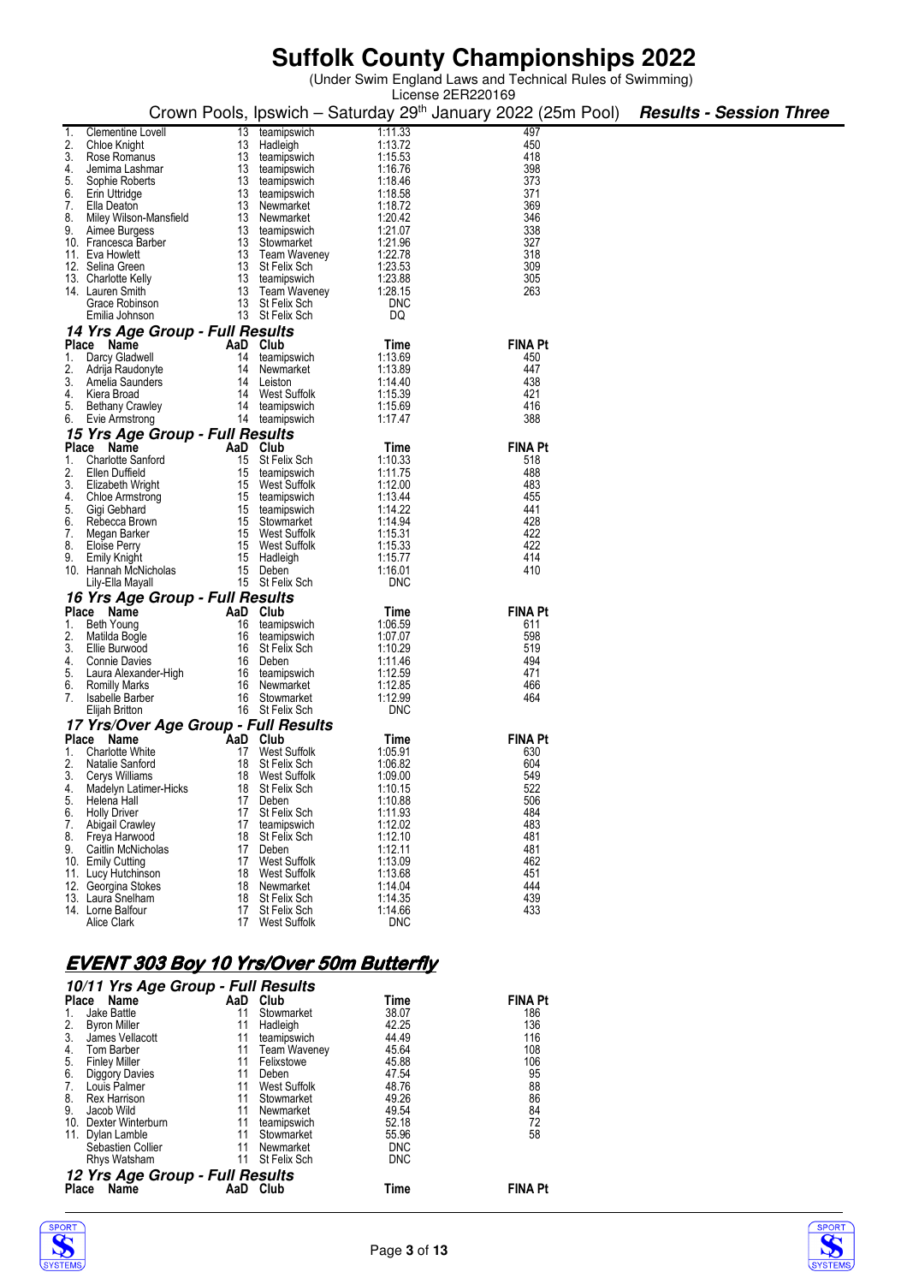|                   |                                                |          |                                    |                                                | License 2ER220169                                                        |                                |
|-------------------|------------------------------------------------|----------|------------------------------------|------------------------------------------------|--------------------------------------------------------------------------|--------------------------------|
|                   |                                                |          |                                    |                                                | Crown Pools, Ipswich – Saturday 29 <sup>th</sup> January 2022 (25m Pool) | <b>Results - Session Three</b> |
|                   |                                                |          |                                    |                                                |                                                                          |                                |
|                   | <b>Clementine Lovell</b>                       |          | 13 teamipswich                     | 1:11.33                                        | 497                                                                      |                                |
| 3.                | Chloe Knight                                   | 13<br>13 | Hadleigh                           | 1:13.72                                        | 450<br>418                                                               |                                |
| 4.                | Rose Romanus<br>Jemima Lashmar                 | 13       | teamipswich<br>teamipswich         | 1:15.53<br>1:16.76                             | 398                                                                      |                                |
| 5.                | Sophie Roberts                                 | 13       | teamipswich                        | 1:18.46                                        | 373                                                                      |                                |
| 6.                | Erin Uttridge                                  | 13       | teamipswich                        | 1:18.58                                        | 371                                                                      |                                |
| 7.                | Ella Deaton                                    |          | 13 Newmarket                       | 1:18.72                                        | 369                                                                      |                                |
| 8.                | Miley Wilson-Mansfield                         | 13       | Newmarket                          | 1:20.42                                        | 346                                                                      |                                |
| 9.                | Aimee Burgess                                  |          | 13 teamipswich                     | 1:21.07                                        | 338                                                                      |                                |
|                   | 10. Francesca Barber                           |          | 13 Stowmarket                      | 1:21.96                                        | 327                                                                      |                                |
| 11. Eva Howlett   |                                                |          | 13 Team Waveney                    | 1:22.78                                        | 318                                                                      |                                |
| 12. Selina Green  |                                                |          | 13 St Felix Sch                    | 1:23.53                                        | 309                                                                      |                                |
|                   | 13. Charlotte Kelly                            |          | 13 teamipswich                     | 1:23.88                                        | 305                                                                      |                                |
| 14. Lauren Smith  |                                                | 13       | Team Waveney                       | 1:28.15                                        | 263                                                                      |                                |
|                   | Grace Robinson                                 |          | 13 St Felix Sch                    | DNC                                            |                                                                          |                                |
|                   | Emilia Johnson                                 |          | 13 St Felix Sch                    | DQ                                             |                                                                          |                                |
|                   | 14 Yrs Age Group - Full Results                |          |                                    |                                                |                                                                          |                                |
| Place Name        |                                                |          | AaD Club                           | Time                                           | <b>FINA Pt</b>                                                           |                                |
|                   | 1. Darcy Gladwell                              | 14       | teamipswich                        | 1:13.69                                        | 450                                                                      |                                |
| 2.                | Adrija Raudonyte                               | 14       | Newmarket                          | 1:13.89                                        | 447                                                                      |                                |
| 3.                | Amelia Saunders                                | 14       | Leiston                            | 1:14.40                                        | 438                                                                      |                                |
| 4.                | Kiera Broad                                    |          | 14 West Suffolk                    | 1:15.39                                        | 421                                                                      |                                |
| 5.                | <b>Bethany Crawley</b>                         |          | 14 teamipswich                     | 1:15.69                                        | 416                                                                      |                                |
| 6.                | Evie Armstrong                                 |          | 14 teamipswich                     | 1:17.47                                        | 388                                                                      |                                |
|                   | 15 Yrs Age Group - Full Results                |          |                                    |                                                |                                                                          |                                |
|                   |                                                |          |                                    |                                                |                                                                          |                                |
| Place Name        |                                                |          | AaD Club                           | Time                                           | <b>FINA Pt</b>                                                           |                                |
| 1.                | <b>Charlotte Sanford</b>                       |          | 15 St Felix Sch                    | 1:10.33                                        | 518                                                                      |                                |
| 2.                | Ellen Duffield                                 | 15       | teamipswich                        | 1:11.75                                        | 488                                                                      |                                |
| 3.                | Elizabeth Wright                               | 15       | West Suffolk                       | 1:12.00                                        | 483                                                                      |                                |
| 4.                | <b>Chloe Armstrong</b>                         |          | 15 teamipswich                     | 1:13.44                                        | 455<br>441                                                               |                                |
| 5.<br>6.          | Gigi Gebhard<br>Rebecca Brown                  | 15       | teamipswich<br>15 Stowmarket       | 1:14.22<br>1:14.94                             | 428                                                                      |                                |
| 7.                | Megan Barker                                   |          | 15 West Suffolk                    | 1:15.31                                        | 422                                                                      |                                |
| 8.                | Eloise Perry                                   | 15       | West Suffolk                       | 1:15.33                                        | 422                                                                      |                                |
| 9.                | Emily Knight                                   |          | 15 Hadleigh                        | 1:15.77                                        | 414                                                                      |                                |
|                   | 10. Hannah McNicholas                          |          | 15 Deben                           | 1:16.01                                        | 410                                                                      |                                |
|                   | Lily-Ella Mayall                               |          | 15 St Felix Sch                    | DNC                                            |                                                                          |                                |
|                   | 16 Yrs Age Group - Full Results                |          |                                    |                                                |                                                                          |                                |
|                   |                                                |          |                                    |                                                |                                                                          |                                |
| Place Name        |                                                |          | AaD Club                           | Time                                           | <b>FINA Pt</b>                                                           |                                |
| 1. Beth Young     |                                                | 16       | teamipswich                        | 1:06.59                                        | 611                                                                      |                                |
| 2.                | Matilda Bogle                                  | 16       | teamipswich                        | 1:07.07<br>1:10.29                             | 598                                                                      |                                |
| 3.                | Ellie Burwood                                  | 16       | St Felix Sch                       |                                                | 519<br>494                                                               |                                |
| 4.                | <b>Connie Davies</b>                           |          | 16 Deben                           | 1:11.46                                        | 471                                                                      |                                |
| 5.<br>6.          | Laura Alexander-High                           | 16<br>16 | teamipswich<br>Newmarket           | 1:12.59<br>1:12.85                             | 466                                                                      |                                |
| 7.                | <b>Romilly Marks</b><br><b>Isabelle Barber</b> | 16       | Stowmarket                         | 1:12.99                                        | 464                                                                      |                                |
|                   | Elijah Britton                                 |          | 16 St Felix Sch                    | DNC                                            |                                                                          |                                |
|                   |                                                |          |                                    |                                                |                                                                          |                                |
|                   | 17 Yrs/Over Age Group - Full Results           |          |                                    |                                                |                                                                          |                                |
| Place Name        |                                                |          | AaD Club                           | Time                                           | <b>FINA Pt</b>                                                           |                                |
|                   | 1. Charlotte White                             | 17       | West Suffolk                       | 1:05.91                                        | 630                                                                      |                                |
| 2.                | Natalie Sanford                                | 18       | St Felix Sch                       | 1:06.82                                        | 604                                                                      |                                |
|                   | 3. Cerys Williams                              | 18       | West Suffolk                       | 1:09.00                                        | 549                                                                      |                                |
| 4.                | Madelyn Latimer-Hicks                          | 18       | St Felix Sch                       | 1:10.15                                        | 522                                                                      |                                |
| 5.                | Helena Hall                                    |          | 17 Deben                           | 1:10.88                                        | 506                                                                      |                                |
| 6.                | <b>Holly Driver</b>                            | 17       | St Felix Sch                       | 1:11.93                                        | 484                                                                      |                                |
| 7.                | Abigail Crawley                                | 17       | teamipswich                        | 1:12.02<br>1:12.10                             | 483<br>481                                                               |                                |
| 8.<br>9.          | Freya Harwood<br>Caitlin McNicholas            | 18<br>17 | St Felix Sch                       | 1:12.11                                        | 481                                                                      |                                |
| 10. Emily Cutting |                                                |          | Deben<br>17 West Suffolk           | 1:13.09                                        | 462                                                                      |                                |
|                   | 11. Lucy Hutchinson                            | 18       | West Suffolk                       | 1:13.68                                        | 451                                                                      |                                |
|                   | 12. Georgina Stokes                            | 18       | Newmarket                          | 1:14.04                                        | 444                                                                      |                                |
|                   | 13. Laura Snelham                              | 18       | St Felix Sch                       | 1:14.35                                        | 439                                                                      |                                |
|                   | 14. Lorne Balfour                              |          | 17 St Felix Sch                    | 1:14.66                                        | 433                                                                      |                                |
|                   | Alice Clark                                    | 17       | West Suffolk                       | DNC                                            |                                                                          |                                |
|                   |                                                |          |                                    |                                                |                                                                          |                                |
|                   |                                                |          |                                    |                                                |                                                                          |                                |
|                   |                                                |          |                                    |                                                |                                                                          |                                |
|                   |                                                |          |                                    | <u>EVENT 303 Boy 10 Yrs/Over 50m Butterfly</u> |                                                                          |                                |
|                   | 10/11 Yrs Age Group - Full Results             |          |                                    |                                                |                                                                          |                                |
| Place Name        |                                                |          | AaD Club                           | Time                                           | <b>FINA Pt</b>                                                           |                                |
| 1.                | Jake Battle                                    | 11       | Stowmarket                         | 38.07                                          | 186                                                                      |                                |
| 2.                |                                                | 11       | Hadleigh                           | 42.25                                          | 136                                                                      |                                |
| 3.                | Byron Miller<br>James Vellacott                | 11       |                                    | 44.49                                          | 116                                                                      |                                |
| 4.                | Tom Barber                                     | 11       | teamipswich<br><b>Team Waveney</b> |                                                | 108                                                                      |                                |
| 5.                | <b>Finley Miller</b>                           | 11       | Felixstowe                         | 45.64<br>45.88                                 | 106                                                                      |                                |
| 6.                | <b>Diggory Davies</b>                          | 11       | Deben                              | 47.54                                          | 95                                                                       |                                |
| 7.                | Louis Palmer                                   | 11       | West Suffolk                       | 48.76                                          | 88                                                                       |                                |
| 8.                | Rex Harrison                                   | 11       | Stowmarket                         | 49.26                                          | 86                                                                       |                                |
| 9.                | Jacob Wild                                     | 11       | Newmarket                          | 49.54                                          | 84                                                                       |                                |
| 10.               | Dexter Winterburn                              | 11       | teamipswich                        | 52.18                                          | 72                                                                       |                                |
|                   | 11. Dylan Lamble                               | 11       | Stowmarket                         | 55.96                                          | 58                                                                       |                                |
|                   | Sebastien Collier                              | 11       | Newmarket                          | <b>DNC</b>                                     |                                                                          |                                |
|                   | $Dh$ $Mch$                                     |          | $Q_1$ $\Gamma_A$ $\Gamma_B$        | <b>DNO</b>                                     |                                                                          |                                |





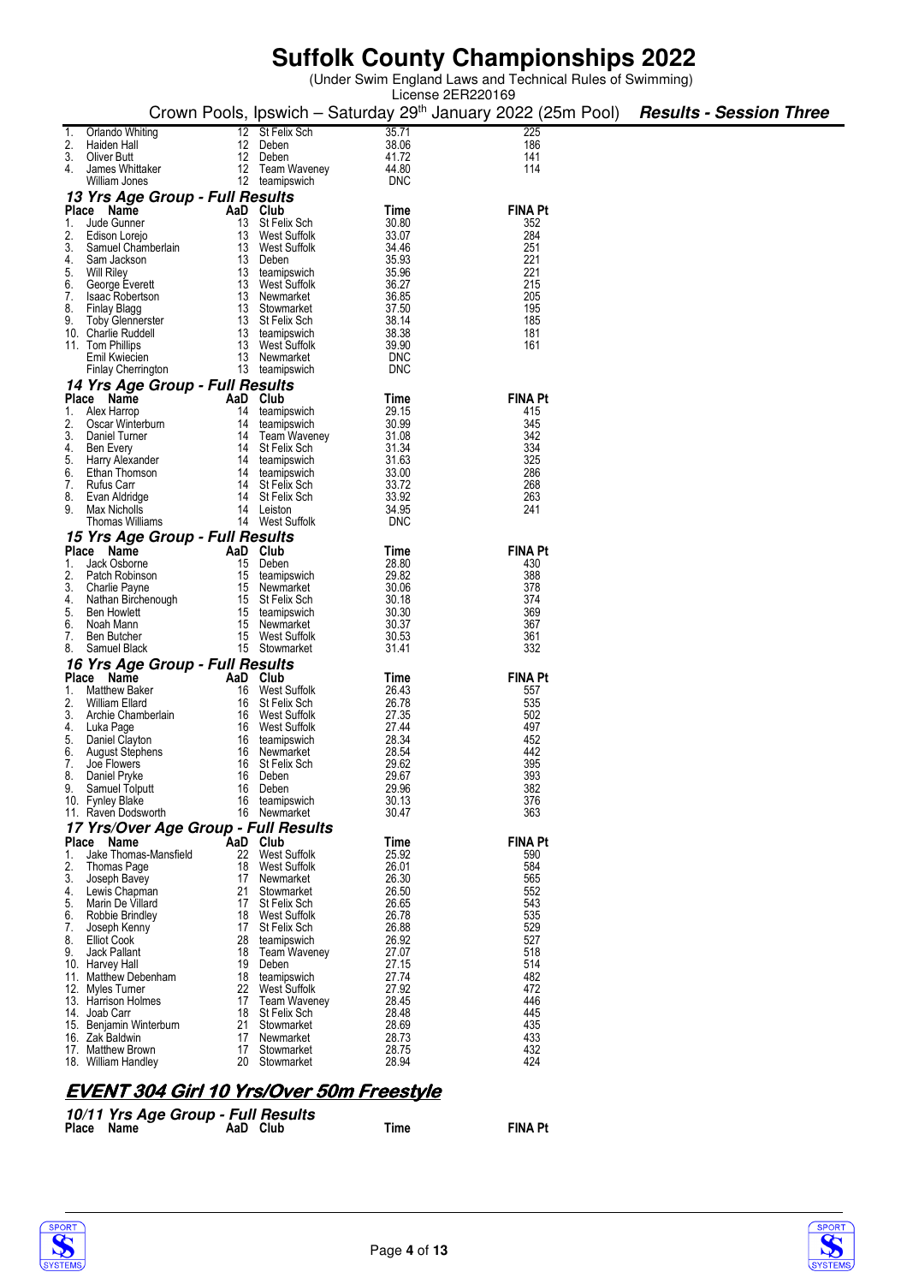(Under Swim England Laws and Technical Rules of Swimming)

|          |                                      |    |                                 |                     | License 2ER220169                                                                                       |  |
|----------|--------------------------------------|----|---------------------------------|---------------------|---------------------------------------------------------------------------------------------------------|--|
|          |                                      |    |                                 |                     | Crown Pools, Ipswich - Saturday 29 <sup>th</sup> January 2022 (25m Pool) <b>Results - Session Three</b> |  |
|          |                                      |    |                                 |                     |                                                                                                         |  |
|          | Orlando Whiting                      |    | 12 St Felix Sch                 | 35.71               | 225                                                                                                     |  |
|          | Haiden Hall                          |    | 12 Deben                        | 38.06               | 186                                                                                                     |  |
| 3.       | Oliver Butt                          |    | 12 Deben                        | 41.72               | 141                                                                                                     |  |
| 4.       | James Whittaker                      |    | 12 Team Waveney                 | 44.80               | 114                                                                                                     |  |
|          | William Jones                        |    | 12 teamipswich                  | <b>DNC</b>          |                                                                                                         |  |
|          | 13 Yrs Age Group - Full Results      |    |                                 |                     |                                                                                                         |  |
|          | Place Name                           |    | AaD Club                        | Time                | <b>FINA Pt</b>                                                                                          |  |
| 1.       | Jude Gunner                          |    | 13 St Felix Sch                 | 30.80               | 352                                                                                                     |  |
| 2.       | Edison Lorejo                        |    | 13 West Suffolk                 | 33.07               | 284                                                                                                     |  |
| 3.       | Samuel Chamberlain                   |    | 13 West Suffolk                 | 34.46               | 251                                                                                                     |  |
| 4.       | Sam Jackson                          |    | 13 Deben                        | 35.93               | 221                                                                                                     |  |
| 5.       | <b>Will Riley</b>                    |    | 13 teamipswich                  | 35.96               | 221                                                                                                     |  |
| 6.       | George Everett                       |    | 13 West Suffolk                 | 36.27               | 215                                                                                                     |  |
| 7.       | <b>Isaac Robertson</b>               |    | 13 Newmarket                    | 36.85               | 205                                                                                                     |  |
| 8.       | Finlay Blagg                         |    | 13 Stowmarket                   | 37.50               | 195                                                                                                     |  |
| 9.       | <b>Toby Glennerster</b>              |    | 13 St Felix Sch                 | 38.14               | 185                                                                                                     |  |
|          | 10. Charlie Ruddell                  |    | 13 teamipswich                  | 38.38               | 181                                                                                                     |  |
|          | 11. Tom Phillips                     |    | 13 West Suffolk                 | 39.90               | 161                                                                                                     |  |
|          | Emil Kwiecien                        |    | 13 Newmarket                    | <b>DNC</b>          |                                                                                                         |  |
|          | Finlay Cherrington                   |    | 13 teamipswich                  | <b>DNC</b>          |                                                                                                         |  |
|          | 14 Yrs Age Group - Full Results      |    |                                 |                     |                                                                                                         |  |
|          | Place Name                           |    | AaD Club                        | Time                | <b>FINA Pt</b>                                                                                          |  |
|          | 1. Alex Harrop                       | 14 | teamipswich                     | 29.15               | 415                                                                                                     |  |
| 2.       | Oscar Winterburn                     | 14 | teamipswich                     | 30.99               | 345                                                                                                     |  |
| 3.       | Daniel Turner                        |    | 14 Team Waveney                 | 31.08               | 342                                                                                                     |  |
| 4.       | Ben Every                            | 14 | St Felix Sch                    | 31.34               | 334                                                                                                     |  |
| 5.       | Harry Alexander                      |    | 14 teamipswich                  | 31.63               | 325                                                                                                     |  |
| 6.       | Ethan Thomson                        |    | 14 teamipswich                  | 33.00               | 286                                                                                                     |  |
| 7.       | <b>Rufus Carr</b>                    | 14 | St Felix Sch                    | 33.72               | 268                                                                                                     |  |
| 8.       | Evan Aldridge                        |    | 14 St Felix Sch                 | 33.92               | 263                                                                                                     |  |
| 9.       | Max Nicholls<br>Thomas Williams      | 14 | Leiston<br>14 West Suffolk      | 34.95<br><b>DNC</b> | 241                                                                                                     |  |
|          |                                      |    |                                 |                     |                                                                                                         |  |
|          | 15 Yrs Age Group - Full Results      |    |                                 |                     |                                                                                                         |  |
|          | Place Name                           |    | AaD Club                        | Time                | <b>FINA Pt</b>                                                                                          |  |
| 1.       | Jack Osborne                         | 15 | Deben                           | 28.80<br>29.82      | 430<br>388                                                                                              |  |
| 2.<br>3. | Patch Robinson                       |    | 15 teamipswich                  | 30.06               | 378                                                                                                     |  |
| 4.       | Charlie Payne                        |    | 15 Newmarket<br>15 St Felix Sch | 30.18               | 374                                                                                                     |  |
| 5.       | Nathan Birchenough<br>Ben Howlett    |    | 15 teamipswich                  | 30.30               | 369                                                                                                     |  |
| 6.       | Noah Mann                            |    | 15 Newmarket                    | 30.37               | 367                                                                                                     |  |
| 7.       | Ben Butcher                          |    | 15 West Suffolk                 | 30.53               | 361                                                                                                     |  |
| 8.       | Samuel Black                         |    | 15 Stowmarket                   | 31.41               | 332                                                                                                     |  |
|          | 16 Yrs Age Group - Full Results      |    |                                 |                     |                                                                                                         |  |
|          | Place Name                           |    | AaD Club                        | Time                | <b>FINA Pt</b>                                                                                          |  |
| 1.       | Matthew Baker                        | 16 | West Suffolk                    | 26.43               | 557                                                                                                     |  |
|          | William Ellard                       | 16 | St Felix Sch                    | 26.78               | 535                                                                                                     |  |
| 3.       | Archie Chamberlain                   |    | 16 West Suffolk                 | 27.35               | 502                                                                                                     |  |
| 4.       | Luka Page                            |    | 16 West Suffolk                 | 27.44               | 497                                                                                                     |  |
| 5.       | Daniel Clayton                       |    | 16 teamipswich                  | 28.34               | 452                                                                                                     |  |
| 6.       | August Stephens                      |    | 16 Newmarket                    | 28.54               | 442                                                                                                     |  |
| 7.       | Joe Flowers                          |    | 16 St Felix Sch                 | 29.62               | 395                                                                                                     |  |
|          | 8. Daniel Pryke                      | 16 | Deben                           | 29.67               | 393                                                                                                     |  |
|          | 9. Samuel Tolputt                    | 16 | Deben                           | 29.96               | 382                                                                                                     |  |
|          | 10. Fynley Blake                     |    | 16 teamipswich                  | 30.13               | 376                                                                                                     |  |
|          | 11. Raven Dodsworth                  |    | 16 Newmarket                    | 30.47               | 363                                                                                                     |  |
|          | 17 Yrs/Over Age Group - Full Results |    |                                 |                     |                                                                                                         |  |
|          | Place Name                           |    | AaD Club                        | Time                | <b>FINA Pt</b>                                                                                          |  |
| 1.       | Jake Thomas-Mansfield                |    | 22 West Suffolk                 | 25.92               | 590                                                                                                     |  |
| 2.       | Thomas Page                          | 18 | West Suffolk                    | 26.01               | 584                                                                                                     |  |
| 3.       | Joseph Bavey                         |    | 17 Newmarket                    | 26.30               | 565                                                                                                     |  |
| 4.       | Lewis Chapman                        |    | 21 Stowmarket                   | 26.50               | 552                                                                                                     |  |
| 5.       | Marin De Villard                     | 17 | St Felix Sch                    | 26.65               | 543                                                                                                     |  |
| 6.       | Robbie Brindley                      |    | 18 West Suffolk                 | 26.78               | 535                                                                                                     |  |
| 7.       | Joseph Kenny                         |    | 17 St Felix Sch                 | 26.88               | 529                                                                                                     |  |
| 8.       | Elliot Cook                          | 28 | teamipswich                     | 26.92               | 527                                                                                                     |  |
| 9.       | Jack Pallant                         | 18 | Team Waveney                    | 27.07               | 518                                                                                                     |  |
|          | 10. Harvey Hall                      | 19 | Deben                           | 27.15               | 514                                                                                                     |  |
|          | 11. Matthew Debenham                 |    | 18 teamipswich                  | 27.74               | 482                                                                                                     |  |
|          | 12. Myles Turner                     | 22 | West Suffolk                    | 27.92<br>28.45      | 472<br>446                                                                                              |  |
|          | 13. Harrison Holmes<br>14. Joab Carr | 18 | 17 Team Waveney<br>St Felix Sch | 28.48               | 445                                                                                                     |  |
|          | 15. Benjamin Winterburn              |    | 21 Stowmarket                   | 28.69               | 435                                                                                                     |  |
|          | 16. Zak Baldwin                      |    | 17 Newmarket                    | 28.73               | 433                                                                                                     |  |
|          | 17. Matthew Brown                    | 17 | Stowmarket                      | 28.75               | 432                                                                                                     |  |
|          | 18. William Handley                  |    | 20 Stowmarket                   | 28.94               | 424                                                                                                     |  |
|          |                                      |    |                                 |                     |                                                                                                         |  |

### **EVENT 304 Girl 10 Yrs/Over 50m Freestyle**

|            | 10/11 Yrs Age Group - Full Results |          |      |                |
|------------|------------------------------------|----------|------|----------------|
| Place Name |                                    | AaD Club | Time | <b>FINA Pt</b> |



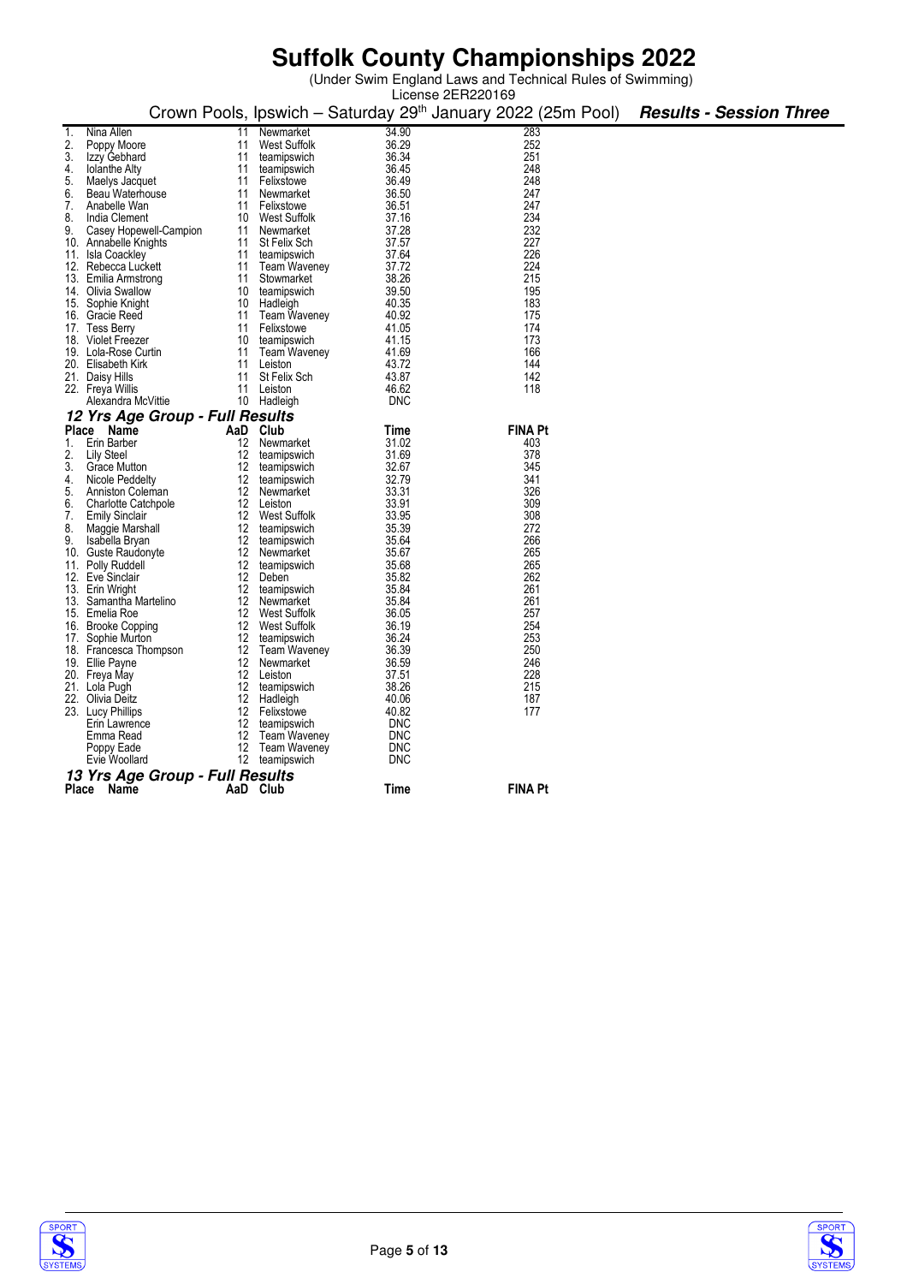|       | License 2ER220169                   |          |                      |                |                                                                          |                                |  |  |  |
|-------|-------------------------------------|----------|----------------------|----------------|--------------------------------------------------------------------------|--------------------------------|--|--|--|
|       |                                     |          |                      |                | Crown Pools, Ipswich - Saturday 29 <sup>th</sup> January 2022 (25m Pool) | <b>Results - Session Three</b> |  |  |  |
| 1.    | Nina Allen                          | 11       | Newmarket            | 34.90          | 283                                                                      |                                |  |  |  |
| 2.    | Poppy Moore                         | 11       | <b>West Suffolk</b>  | 36.29          | 252                                                                      |                                |  |  |  |
| 3.    | Izzy Gebhard                        | 11       | teamipswich          | 36.34          | 251                                                                      |                                |  |  |  |
| 4.    | <b>Iolanthe Alty</b>                | 11       | teamipswich          | 36.45          | 248                                                                      |                                |  |  |  |
| 5.    | Maelys Jacquet                      | 11       | Felixstowe           | 36.49          | 248                                                                      |                                |  |  |  |
| 6.    | Beau Waterhouse                     | 11       | Newmarket            | 36.50          | 247                                                                      |                                |  |  |  |
| 7.    | Anabelle Wan                        | 11       | Felixstowe           | 36.51          | 247                                                                      |                                |  |  |  |
| 8.    | India Clement                       | 10       | West Suffolk         | 37.16          | 234                                                                      |                                |  |  |  |
| 9.    | Casey Hopewell-Campion              | 11       | Newmarket            | 37.28          | 232                                                                      |                                |  |  |  |
| 10.   | Annabelle Knights                   | 11       | St Felix Sch         | 37.57          | 227                                                                      |                                |  |  |  |
| 11.   | Isla Coackley                       | 11       | teamipswich          | 37.64          | 226                                                                      |                                |  |  |  |
|       | 12. Rebecca Luckett                 | 11       | <b>Team Waveney</b>  | 37.72          | 224                                                                      |                                |  |  |  |
| 13.   | Emilia Armstrong                    | 11       | Stowmarket           | 38.26          | 215                                                                      |                                |  |  |  |
| 14.   | Olivia Swallow                      | 10       | teamipswich          | 39.50          | 195                                                                      |                                |  |  |  |
|       | 15. Sophie Knight                   | 10       | Hadleigh             | 40.35          | 183                                                                      |                                |  |  |  |
|       | 16. Gracie Reed                     | 11       | <b>Team Waveney</b>  | 40.92          | 175                                                                      |                                |  |  |  |
|       | 17. Tess Berry                      | 11       | Felixstowe           | 41.05          | 174                                                                      |                                |  |  |  |
|       | 18. Violet Freezer                  | 10       | teamipswich          | 41.15          | 173                                                                      |                                |  |  |  |
|       | 19. Lola-Rose Curtin                | 11       | <b>Team Waveney</b>  | 41.69          | 166                                                                      |                                |  |  |  |
|       | 20. Elisabeth Kirk                  | 11       | Leiston              | 43.72          | 144                                                                      |                                |  |  |  |
|       | 21. Daisy Hills                     | 11       | St Felix Sch         | 43.87          | 142                                                                      |                                |  |  |  |
|       | 22. Freya Willis                    | 11       | Leiston              | 46.62          | 118                                                                      |                                |  |  |  |
|       | Alexandra McVittie                  | 10       | Hadleigh             | <b>DNC</b>     |                                                                          |                                |  |  |  |
|       | 12 Yrs Age Group - Full Results     |          |                      |                |                                                                          |                                |  |  |  |
| Place | Name                                | AaD      | Club                 | Time           | <b>FINA Pt</b>                                                           |                                |  |  |  |
| 1.    | Erin Barber                         | 12       | Newmarket            | 31.02          | 403                                                                      |                                |  |  |  |
| 2.    | Lily Steel                          | 12       | teamipswich          | 31.69          | 378                                                                      |                                |  |  |  |
| 3.    | Grace Mutton                        | 12       | teamipswich          | 32.67          | 345                                                                      |                                |  |  |  |
| 4.    | Nicole Peddelty                     | 12       | teamipswich          | 32.79          | 341                                                                      |                                |  |  |  |
| 5.    | Anniston Coleman                    | 12       | Newmarket            | 33.31          | 326                                                                      |                                |  |  |  |
| 6.    | <b>Charlotte Catchpole</b>          | 12       | Leiston              | 33.91          | 309                                                                      |                                |  |  |  |
| 7.    | <b>Emily Sinclair</b>               | 12       | West Suffolk         | 33.95          | 308                                                                      |                                |  |  |  |
| 8.    | Maggie Marshall                     | 12       | teamipswich          | 35.39          | 272                                                                      |                                |  |  |  |
| 9.    | Isabella Bryan                      | 12       | teamipswich          | 35.64          | 266<br>265                                                               |                                |  |  |  |
| 10.   | Guste Raudonyte                     | 12       | Newmarket            | 35.67          |                                                                          |                                |  |  |  |
| 11.   | Polly Ruddell                       | 12<br>12 | teamipswich<br>Deben | 35.68<br>35.82 | 265<br>262                                                               |                                |  |  |  |
|       | 12. Eve Sinclair<br>13. Erin Wright | 12       | teamipswich          | 35.84          | 261                                                                      |                                |  |  |  |
| 13.   | Samantha Martelino                  | 12       | Newmarket            | 35.84          | 261                                                                      |                                |  |  |  |
|       | 15. Emelia Roe                      | 12       | West Suffolk         | 36.05          | 257                                                                      |                                |  |  |  |
|       | 16. Brooke Copping                  | 12       | West Suffolk         | 36.19          | 254                                                                      |                                |  |  |  |
| 17.   | Sophie Murton                       | 12       | teamipswich          | 36.24          | 253                                                                      |                                |  |  |  |
|       | 18. Francesca Thompson              | 12       | <b>Team Waveney</b>  | 36.39          | 250                                                                      |                                |  |  |  |
|       | 19. Ellie Payne                     | 12       | Newmarket            | 36.59          | 246                                                                      |                                |  |  |  |
|       | 20. Freya May                       | 12       | Leiston              | 37.51          | 228                                                                      |                                |  |  |  |
|       | 21. Lola Pugh                       | 12       | teamipswich          | 38.26          | 215                                                                      |                                |  |  |  |
|       | 22. Olivia Deitz                    | 12       | Hadleigh             | 40.06          | 187                                                                      |                                |  |  |  |
|       | 23. Lucy Phillips                   | 12       | Felixstowe           | 40.82          | 177                                                                      |                                |  |  |  |
|       | Erin Lawrence                       | 12       | teamipswich          | <b>DNC</b>     |                                                                          |                                |  |  |  |
|       | Emma Read                           | 12       | <b>Team Waveney</b>  | <b>DNC</b>     |                                                                          |                                |  |  |  |
|       | Poppy Eade                          | 12       | <b>Team Waveney</b>  | <b>DNC</b>     |                                                                          |                                |  |  |  |
|       | Evie Woollard                       | 12       | teamipswich          | <b>DNC</b>     |                                                                          |                                |  |  |  |
|       | 13 Yrs Age Group - Full Results     |          |                      |                |                                                                          |                                |  |  |  |
| Place | Name                                |          | AaD Club             | Time           | <b>FINA Pt</b>                                                           |                                |  |  |  |



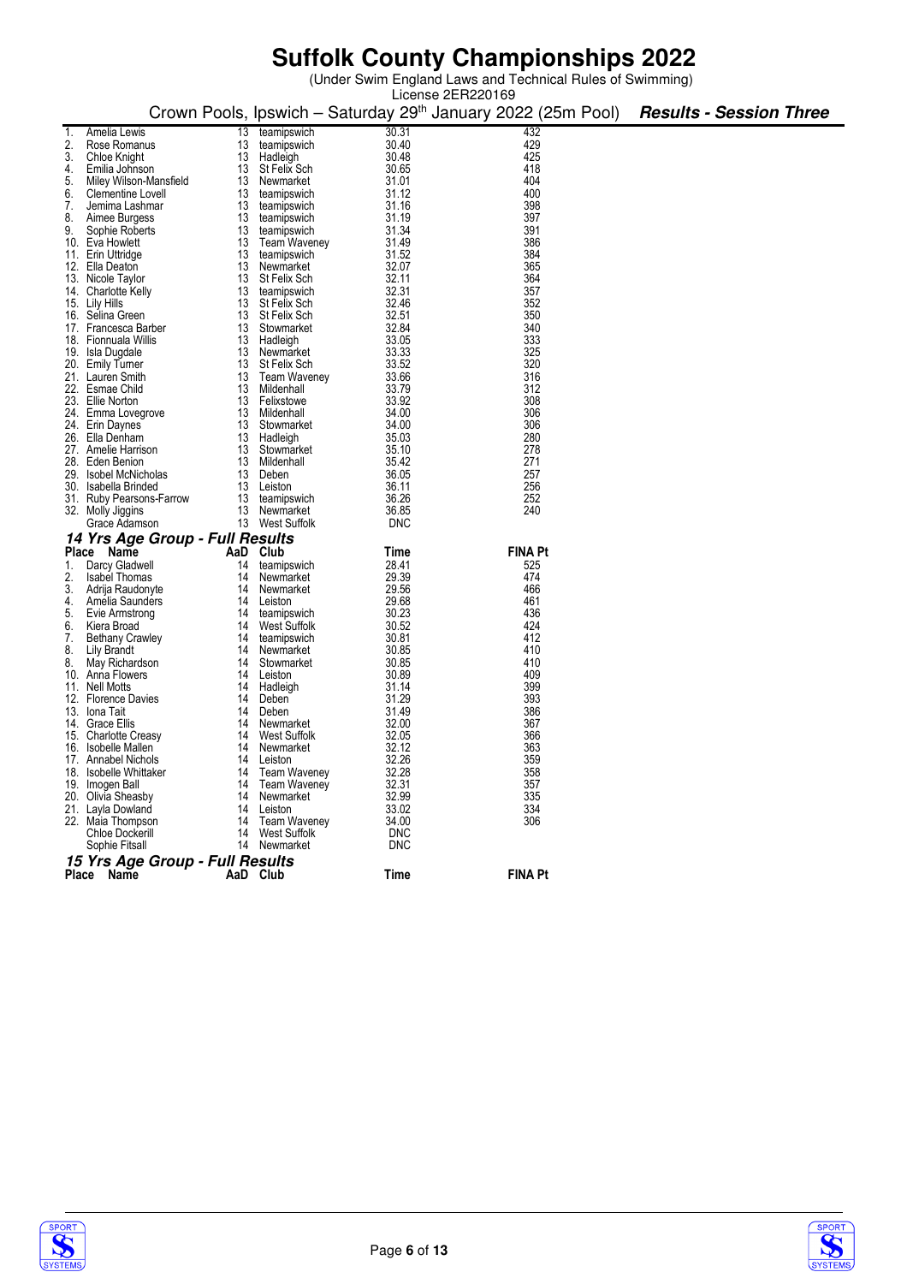|    |                                       |          |                   |                | License 2ER220169                                                        |                                |
|----|---------------------------------------|----------|-------------------|----------------|--------------------------------------------------------------------------|--------------------------------|
|    |                                       |          |                   |                | Crown Pools, Ipswich - Saturday 29 <sup>th</sup> January 2022 (25m Pool) | <b>Results - Session Three</b> |
|    | Amelia Lewis                          | 13       | teamipswich       | 30.31          | 432                                                                      |                                |
|    | Rose Romanus                          | 13       | teamipswich       | 30.40          | 429                                                                      |                                |
| 3. | Chloe Knight                          | 13       | Hadleigh          | 30.48          | 425                                                                      |                                |
| 4. | Emilia Johnson                        |          | 13 St Felix Sch   | 30.65          | 418                                                                      |                                |
| 5. | Miley Wilson-Mansfield                | 13       | Newmarket         | 31.01          | 404                                                                      |                                |
| 6. | Clementine Lovell                     |          | 13 teamipswich    | 31.12          | 400                                                                      |                                |
| 7. | Jemima Lashmar                        |          | 13 teamipswich    | 31.16          | 398                                                                      |                                |
| 8. | Aimee Burgess                         | 13       | teamipswich       | 31.19          | 397                                                                      |                                |
| 9. | Sophie Roberts                        |          | 13 teamipswich    | 31.34          | 391                                                                      |                                |
|    | 10. Eva Howlett                       |          | 13 Team Waveney   | 31.49          | 386                                                                      |                                |
|    | 11. Erin Uttridge                     | 13       | teamipswich       | 31.52          | 384                                                                      |                                |
|    | 12. Ella Deaton                       |          | 13 Newmarket      | 32.07          | 365                                                                      |                                |
|    | 13. Nicole Taylor                     |          | 13 St Felix Sch   | 32.11          | 364                                                                      |                                |
|    | 14. Charlotte Kelly                   | 13       | teamipswich       | 32.31          | 357                                                                      |                                |
|    | 15. Lily Hills                        |          | 13 St Felix Sch   | 32.46          | 352                                                                      |                                |
|    | 16. Selina Green                      |          | 13 St Felix Sch   | 32.51          | 350                                                                      |                                |
|    | 17. Francesca Barber                  |          | 13 Stowmarket     | 32.84          | 340                                                                      |                                |
|    | 18. Fionnuala Willis                  |          | 13 Hadleigh       | 33.05          | 333                                                                      |                                |
|    | 19. Isla Dugdale                      |          | 13 Newmarket      | 33.33          | 325                                                                      |                                |
|    | 20. Emily Turner                      |          | 13 St Felix Sch   | 33.52          | 320                                                                      |                                |
|    | 21. Lauren Smith                      |          | 13 Team Waveney   | 33.66          | 316                                                                      |                                |
|    | 22. Esmae Child                       |          | 13 Mildenhall     | 33.79          | 312                                                                      |                                |
|    | 23. Ellie Norton                      |          | 13 Felixstowe     | 33.92          | 308                                                                      |                                |
|    | 24. Emma Lovegrove                    |          | 13 Mildenhall     | 34.00          | 306                                                                      |                                |
|    | 24. Erin Daynes                       |          | 13 Stowmarket     | 34.00          | 306                                                                      |                                |
|    | 26. Ella Denham                       |          | 13 Hadleigh       | 35.03          | 280                                                                      |                                |
|    | 27. Amelie Harrison                   |          | 13 Stowmarket     | 35.10          | 278                                                                      |                                |
|    | 28. Eden Benion                       |          | 13 Mildenhall     | 35.42          | 271                                                                      |                                |
|    | 29. Isobel McNicholas                 |          | 13 Deben          | 36.05          | 257                                                                      |                                |
|    | 30. Isabella Brinded                  |          | 13 Leiston        | 36.11          | 256                                                                      |                                |
|    | 31. Ruby Pearsons-Farrow              |          | 13 teamipswich    | 36.26          | 252                                                                      |                                |
|    | 32. Molly Jiggins                     |          | 13 Newmarket      | 36.85          | 240                                                                      |                                |
|    | Grace Adamson                         |          | 13 West Suffolk   | <b>DNC</b>     |                                                                          |                                |
|    | 14 Yrs Age Group - Full Results       |          |                   |                |                                                                          |                                |
|    | Place Name                            |          | AaD Club          | Time           | <b>FINA Pt</b>                                                           |                                |
|    | 1. Darcy Gladwell                     | 14       | teamipswich       | 28.41          | 525                                                                      |                                |
| 2. | <b>Isabel Thomas</b>                  | 14       | Newmarket         | 29.39          | 474                                                                      |                                |
| 3. | Adrija Raudonyte                      | 14       | Newmarket         | 29.56          | 466                                                                      |                                |
| 4. | Amelia Saunders                       |          | 14 Leiston        | 29.68          | 461                                                                      |                                |
| 5. | Evie Armstrong                        | 14       | teamipswich       | 30.23          | 436                                                                      |                                |
| 6. | Kiera Broad                           | 14       | West Suffolk      | 30.52          | 424                                                                      |                                |
| 7. | <b>Bethany Crawley</b>                | 14       | teamipswich       | 30.81          | 412                                                                      |                                |
| 8. | Lily Brandt                           | 14       | Newmarket         | 30.85          | 410                                                                      |                                |
| 8. | May Richardson                        | 14       | Stowmarket        | 30.85          | 410                                                                      |                                |
|    | 10. Anna Flowers                      | 14       | Leiston           | 30.89          | 409                                                                      |                                |
|    | 11. Nell Motts<br>12. Florence Davies | 14<br>14 | Hadleigh<br>Deben | 31.14<br>31.29 | 399<br>393                                                               |                                |
|    |                                       | 14       | Deben             | 31.49          | 386                                                                      |                                |
|    | 13. Iona Tait<br>14. Grace Ellis      | 14       | Newmarket         | 32.00          | 367                                                                      |                                |
|    | 15. Charlotte Creasy                  | 14       | West Suffolk      | 32.05          | 366                                                                      |                                |
|    | 16. Isobelle Mallen                   | 14       | Newmarket         | 32.12          | 363                                                                      |                                |
|    | 17. Annabel Nichols                   | 14       | Leiston           | 32.26          | 359                                                                      |                                |
|    | 18. Isobelle Whittaker                |          | 14 Team Waveney   | 32.28          | 358                                                                      |                                |
|    | 19. Imogen Ball                       |          | 14 Team Waveney   | 32.31          | 357                                                                      |                                |
|    | 20. Olivia Sheasby                    |          | 14 Newmarket      | 32.99          | 335                                                                      |                                |
|    | 21. Layla Dowland                     |          | 14 Leiston        | 33.02          | 334                                                                      |                                |
|    | 22. Maia Thompson                     |          | 14 Team Waveney   | 34.00          | 306                                                                      |                                |
|    | <b>Chloe Dockerill</b>                |          | 14 West Suffolk   | <b>DNC</b>     |                                                                          |                                |
|    | Sophie Fitsall                        |          | 14 Newmarket      | <b>DNC</b>     |                                                                          |                                |
|    | 15 Yrs Age Group - Full Results       |          |                   |                |                                                                          |                                |
|    | Place Name                            |          | AaD Club          | Time           | <b>FINA Pt</b>                                                           |                                |
|    |                                       |          |                   |                |                                                                          |                                |



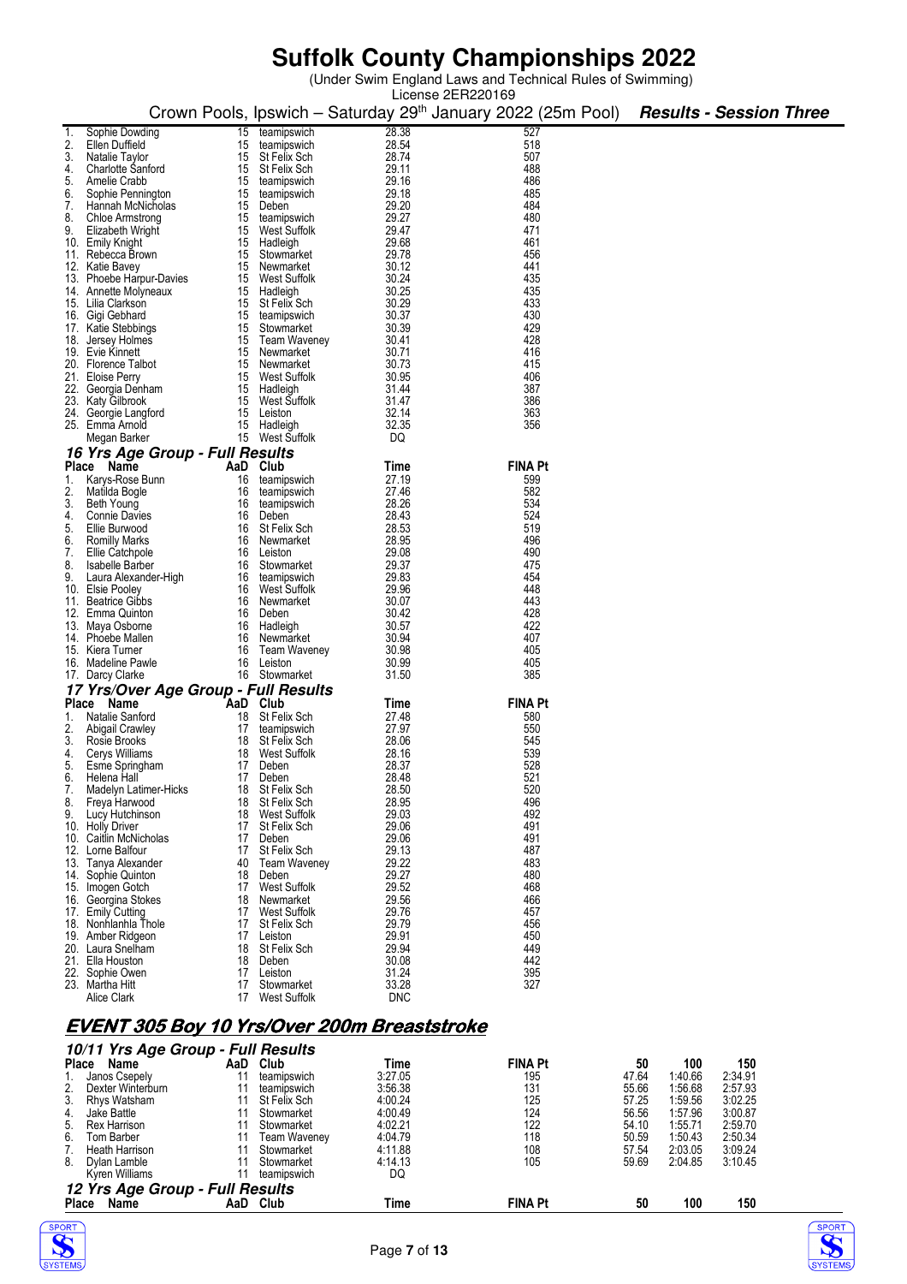(Under Swim England Laws and Technical Rules of Swimming)

|          |                                            |          |                                    |                | License 2ER220169                                                        |                                |  |
|----------|--------------------------------------------|----------|------------------------------------|----------------|--------------------------------------------------------------------------|--------------------------------|--|
|          |                                            |          |                                    |                | Crown Pools, Ipswich – Saturday 29 <sup>th</sup> January 2022 (25m Pool) | <b>Results - Session Three</b> |  |
|          |                                            |          |                                    |                |                                                                          |                                |  |
|          | Sophie Dowding                             | 15       | teamipswich                        | 28.38          | 527                                                                      |                                |  |
|          | Ellen Duffield                             | 15       | teamipswich                        | 28.54          | 518<br>507                                                               |                                |  |
| 3.<br>4. | Natalie Taylor<br><b>Charlotte Sanford</b> |          | 15 St Felix Sch<br>15 St Felix Sch | 28.74<br>29.11 | 488                                                                      |                                |  |
| 5.       | Amelie Crabb                               | 15       | teamipswich                        | 29.16          | 486                                                                      |                                |  |
| 6.       | Sophie Pennington                          | 15       | teamipswich                        | 29.18          | 485                                                                      |                                |  |
| 7.       | Hannah McNicholas                          | 15       | Deben                              | 29.20          | 484                                                                      |                                |  |
| 8.       | Chloe Armstrong                            | 15       | teamipswich                        | 29.27          | 480                                                                      |                                |  |
| 9.       | Elizabeth Wright                           |          | 15 West Suffolk                    | 29.47          | 471                                                                      |                                |  |
|          | 10. Emily Knight                           |          | 15 Hadleigh                        | 29.68          | 461                                                                      |                                |  |
|          | 11. Rebecca Brown                          | 15       | Stowmarket                         | 29.78          | 456                                                                      |                                |  |
|          | 12. Katie Bavey                            |          | 15 Newmarket                       | 30.12          | 441                                                                      |                                |  |
|          | 13. Phoebe Harpur-Davies                   |          | 15 West Suffolk                    | 30.24          | 435                                                                      |                                |  |
|          | 14. Annette Molyneaux                      |          | 15 Hadleigh                        | 30.25          | 435                                                                      |                                |  |
|          | 15. Lilia Clarkson                         |          | 15 St Felix Sch                    | 30.29          | 433                                                                      |                                |  |
|          | 16. Gigi Gebhard                           |          | 15 teamipswich                     | 30.37          | 430                                                                      |                                |  |
|          | 17. Katie Stebbings                        | 15       | Stowmarket                         | 30.39<br>30.41 | 429<br>428                                                               |                                |  |
|          | 18. Jersey Holmes<br>19. Evie Kinnett      |          | 15 Team Waveney<br>15 Newmarket    | 30.71          | 416                                                                      |                                |  |
|          | 20. Florence Talbot                        | 15       | Newmarket                          | 30.73          | 415                                                                      |                                |  |
|          | 21. Eloise Perry                           |          | 15 West Suffolk                    | 30.95          | 406                                                                      |                                |  |
|          | 22. Georgia Denham                         |          | 15 Hadleigh                        | 31.44          | 387                                                                      |                                |  |
|          | 23. Katy Gilbrook                          | 15       | West Suffolk                       | 31.47          | 386                                                                      |                                |  |
|          | 24. Georgie Langford                       |          | 15 Leiston                         | 32.14          | 363                                                                      |                                |  |
|          | 25. Emma Arnold                            |          | 15 Hadleigh                        | 32.35          | 356                                                                      |                                |  |
|          | Megan Barker                               |          | 15 West Suffolk                    | DQ             |                                                                          |                                |  |
|          | 16 Yrs Age Group - Full Results            |          |                                    |                |                                                                          |                                |  |
|          | Place Name                                 |          | AaD Club                           | Time           | <b>FINA Pt</b>                                                           |                                |  |
|          | 1. Karys-Rose Bunn                         | 16       | teamipswich                        | 27.19          | 599                                                                      |                                |  |
| 2.       | Matilda Bogle                              | 16       | teamipswich                        | 27.46          | 582                                                                      |                                |  |
| 3.       | Beth Young                                 | 16       | teamipswich                        | 28.26          | 534                                                                      |                                |  |
| 4.       | <b>Connie Davies</b>                       |          | 16 Deben                           | 28.43          | 524                                                                      |                                |  |
| 5.       | Ellie Burwood                              | 16       | St Felix Sch                       | 28.53          | 519                                                                      |                                |  |
| 6.       | <b>Romilly Marks</b>                       | 16       | Newmarket                          | 28.95          | 496                                                                      |                                |  |
| 7.       | Ellie Catchpole                            |          | 16 Leiston                         | 29.08          | 490                                                                      |                                |  |
| 8.       | Isabelle Barber                            | 16       | Stowmarket                         | 29.37          | 475                                                                      |                                |  |
| 9.       | Laura Alexander-High                       |          | 16 teamipswich<br>16 West Suffolk  | 29.83<br>29.96 | 454<br>448                                                               |                                |  |
|          | 10. Elsie Pooley<br>11. Beatrice Gibbs     | 16       | Newmarket                          | 30.07          | 443                                                                      |                                |  |
|          | 12. Emma Quinton                           | 16       | Deben                              | 30.42          | 428                                                                      |                                |  |
|          | 13. Maya Osborne                           |          | 16 Hadleigh                        | 30.57          | 422                                                                      |                                |  |
|          | 14. Phoebe Mallen                          | 16       | Newmarket                          | 30.94          | 407                                                                      |                                |  |
|          | 15. Kiera Turner                           | 16       | <b>Team Waveney</b>                | 30.98          | 405                                                                      |                                |  |
|          | 16. Madeline Pawle                         | 16       | Leiston                            | 30.99          | 405                                                                      |                                |  |
|          | 17. Darcy Clarke                           |          | 16 Stowmarket                      | 31.50          | 385                                                                      |                                |  |
|          | 17 Yrs/Over Age Group - Full Results       |          |                                    |                |                                                                          |                                |  |
|          | Place Name                                 | AaD      | Club                               | Time           | <b>FINA Pt</b>                                                           |                                |  |
| 1.       | Natalie Sanford                            | 18       | St Felix Sch                       | 27.48          | 580                                                                      |                                |  |
| 2.       | <b>Abigail Crawley</b>                     | 17       | teamipswich                        | 27.97          | 550                                                                      |                                |  |
| 3.       | Rosie Brooks                               | 18       | St Felix Sch                       | 28.06          | 545                                                                      |                                |  |
| 4.       | Cerys Williams                             | 18       | West Suffolk                       | 28.16          | 539                                                                      |                                |  |
| 5.       | Esme Springham                             | 17       | Deben                              | 28.37          | 528                                                                      |                                |  |
| ხ.       | Helena Hall                                | 17       | Deben                              | 28.48          | 521                                                                      |                                |  |
| 7.       | <b>Madelyn Latimer-Hicks</b>               | 18       | St Felix Sch                       | 28.50          | 520<br>496                                                               |                                |  |
| 8.<br>9. | Freya Harwood<br>Lucy Hutchinson           | 18<br>18 | St Felix Sch<br>West Suffolk       | 28.95<br>29.03 | 492                                                                      |                                |  |
|          | 10. Holly Driver                           | 17       | St Felix Sch                       | 29.06          | 491                                                                      |                                |  |
|          | 10. Caitlin McNicholas                     | 17       | Deben                              | 29.06          | 491                                                                      |                                |  |
|          | 12. Lorne Balfour                          | 17       | St Felix Sch                       | 29.13          | 487                                                                      |                                |  |
|          | 13. Tanya Alexander                        | 40       | <b>Team Waveney</b>                | 29.22          | 483                                                                      |                                |  |
|          | 14. Sophie Quinton                         | 18       | Deben                              | 29.27          | 480                                                                      |                                |  |
|          | 15. Imogen Gotch                           | 17       | <b>West Suffolk</b>                | 29.52          | 468                                                                      |                                |  |
|          | 16. Georgina Stokes                        | 18       | Newmarket                          | 29.56          | 466                                                                      |                                |  |
|          | 17. Emily Cutting                          | 17       | West Suffolk                       | 29.76          | 457                                                                      |                                |  |
|          | 18. Nonhlanhla Thole                       | 17       | St Felix Sch                       | 29.79          | 456                                                                      |                                |  |
|          | 19. Amber Ridgeon                          | 17       | Leiston                            | 29.91          | 450                                                                      |                                |  |
|          | 20. Laura Snelĥam                          | 18<br>18 | St Felix Sch<br>Deben              | 29.94<br>30.08 | 449<br>442                                                               |                                |  |
|          | 21. Ella Houston<br>22. Sophie Owen        | 17       | Leiston                            | 31.24          | 395                                                                      |                                |  |
|          | 23. Martha Hitt                            | 17       | Stowmarket                         | 33.28          | 327                                                                      |                                |  |
|          | Alice Clark                                | 17       | West Suffolk                       | <b>DNC</b>     |                                                                          |                                |  |
|          |                                            |          |                                    |                |                                                                          |                                |  |

### **EVENT 305 Boy 10 Yrs/Over 200m Breaststroke**

|    | 10/11 Yrs Age Group - Full Results |     |                     |         |                |       |         |         |  |  |  |  |  |
|----|------------------------------------|-----|---------------------|---------|----------------|-------|---------|---------|--|--|--|--|--|
|    | <b>Place</b><br>Name               | AaD | Club                | Time    | <b>FINA Pt</b> | 50    | 100     | 150     |  |  |  |  |  |
|    | Janos Csepely                      | 11  | teamipswich         | 3:27.05 | 195            | 47.64 | 1:40.66 | 2:34.91 |  |  |  |  |  |
| 2. | Dexter Winterburn                  |     | teamipswich         | 3:56.38 | 131            | 55.66 | 1:56.68 | 2:57.93 |  |  |  |  |  |
| 3. | Rhys Watsham                       |     | St Felix Sch        | 4:00.24 | 125            | 57.25 | 1:59.56 | 3:02.25 |  |  |  |  |  |
| 4. | Jake Battle                        |     | Stowmarket          | 4:00.49 | 124            | 56.56 | 1:57.96 | 3:00.87 |  |  |  |  |  |
| 5. | Rex Harrison                       |     | Stowmarket          | 4:02.21 | 122            | 54.10 | 1:55.71 | 2:59.70 |  |  |  |  |  |
| 6. | Tom Barber                         |     | <b>Team Waveney</b> | 4:04.79 | 118            | 50.59 | 1:50.43 | 2:50.34 |  |  |  |  |  |
|    | <b>Heath Harrison</b>              |     | Stowmarket          | 4:11.88 | 108            | 57.54 | 2:03.05 | 3:09.24 |  |  |  |  |  |
| 8. | Dylan Lamble                       |     | Stowmarket          | 4:14.13 | 105            | 59.69 | 2:04.85 | 3:10.45 |  |  |  |  |  |
|    | Kyren Williams                     | 11  | teamipswich         | DQ      |                |       |         |         |  |  |  |  |  |
|    | 12 Yrs Age Group - Full Results    |     |                     |         |                |       |         |         |  |  |  |  |  |
|    | Name<br><b>Place</b>               | AaD | Club                | Time    | <b>FINA Pt</b> | 50    | 100     | 150     |  |  |  |  |  |



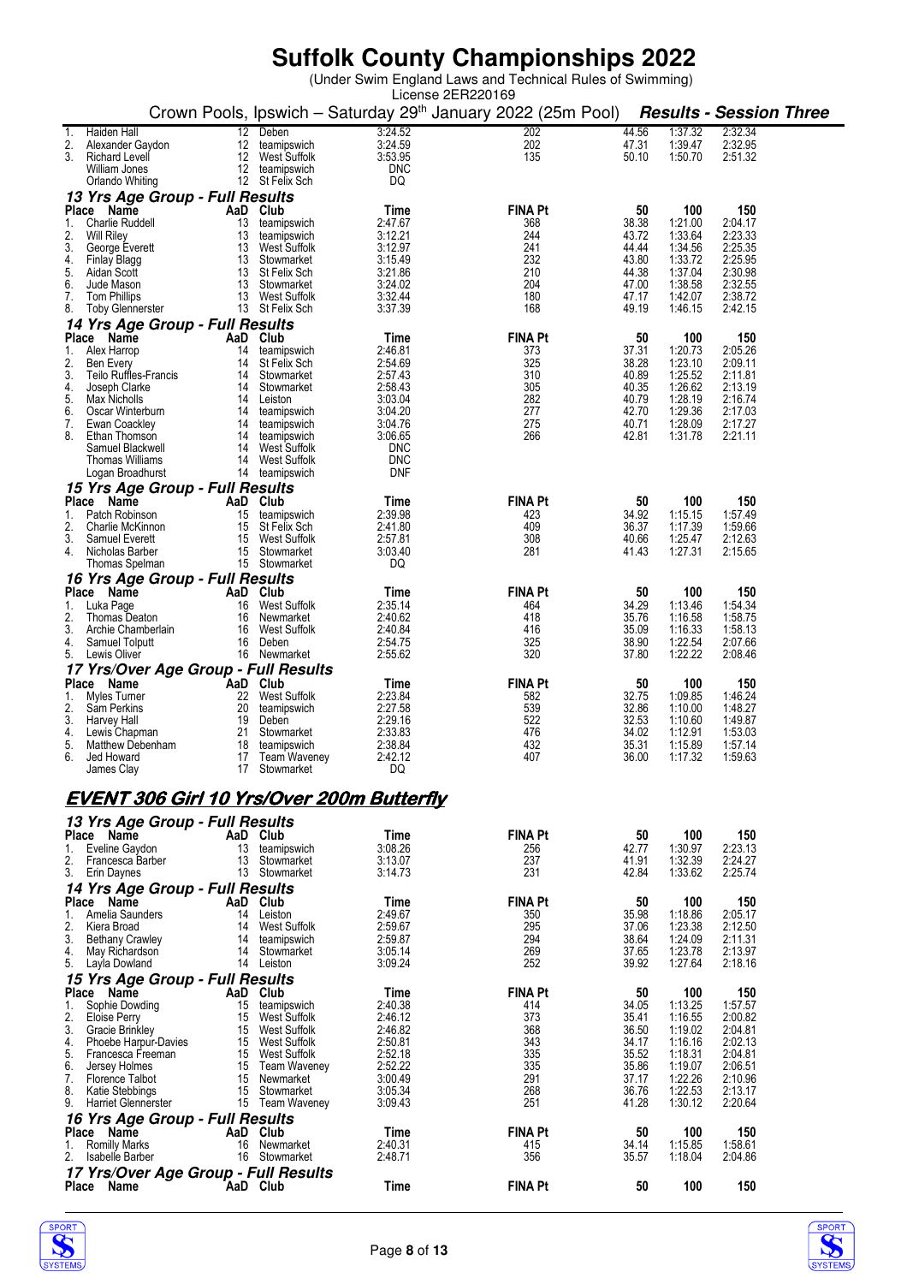|          |                                                       |          |                                    |                       | License 2ER220169                                                        |                |                    |                                |  |
|----------|-------------------------------------------------------|----------|------------------------------------|-----------------------|--------------------------------------------------------------------------|----------------|--------------------|--------------------------------|--|
|          |                                                       |          |                                    |                       | Crown Pools, Ipswich - Saturday 29 <sup>th</sup> January 2022 (25m Pool) |                |                    | <b>Results - Session Three</b> |  |
| 1.<br>2. | Haiden Hall<br>Alexander Gaydon                       | 12<br>12 | Deben<br>teamipswich               | 3:24.52<br>3:24.59    | 202<br>202                                                               | 44.56<br>47.31 | 1:37.32<br>1:39.47 | 2:32.34<br>2:32.95             |  |
| 3.       | <b>Richard Levell</b>                                 | 12       | West Suffolk                       | 3:53.95               | 135                                                                      | 50.10          | 1:50.70            | 2:51.32                        |  |
|          | William Jones                                         |          | 12 teamipswich                     | <b>DNC</b>            |                                                                          |                |                    |                                |  |
|          | Orlando Whiting                                       |          | 12 St Felix Sch                    | DQ                    |                                                                          |                |                    |                                |  |
|          | 13 Yrs Age Group - Full Results<br>Place<br>Name      |          | AaD Club                           | Time                  | <b>FINA Pt</b>                                                           | 50             | 100                | 150                            |  |
| 1.       | <b>Charlie Ruddell</b>                                | 13       | teamipswich                        | 2:47.67               | 368                                                                      | 38.38          | 1:21.00            | 2:04.17                        |  |
| 2.<br>3. | Will Riley                                            | 13       | teamipswich                        | 3:12.21               | 244<br>241                                                               | 43.72<br>44.44 | 1:33.64            | 2:23.33                        |  |
| 4.       | George Everett<br>Finlay Blagg                        | 13<br>13 | West Suffolk<br>Stowmarket         | 3:12.97<br>3:15.49    | 232                                                                      | 43.80          | 1:34.56<br>1:33.72 | 2:25.35<br>2:25.95             |  |
| 5.       | Aidan Scott                                           | 13       | St Felix Sch                       | 3:21.86               | 210                                                                      | 44.38          | 1:37.04            | 2:30.98                        |  |
| 6.<br>7. | Jude Mason<br>Tom Phillips                            | 13       | 13 Stowmarket<br>West Suffolk      | 3:24.02<br>3:32.44    | 204<br>180                                                               | 47.00<br>47.17 | 1:38.58<br>1:42.07 | 2:32.55<br>2:38.72             |  |
| 8.       | <b>Toby Glennerster</b>                               |          | 13 St Felix Sch                    | 3:37.39               | 168                                                                      | 49.19          | 1:46.15            | 2:42.15                        |  |
|          | 14 Yrs Age Group - Full Results                       |          |                                    |                       |                                                                          |                |                    |                                |  |
| Place    | Name                                                  |          | AaD Club                           | Time                  | <b>FINA Pt</b>                                                           | 50             | 100                | 150                            |  |
| 1.<br>2. | Alex Harrop<br>Ben Every                              | 14<br>14 | teamipswich<br>St Felix Sch        | 2:46.81<br>2:54.69    | 373<br>325                                                               | 37.31<br>38.28 | 1:20.73<br>1:23.10 | 2:05.26<br>2:09.11             |  |
| 3.       | Teilo Ruffles-Francis                                 | 14       | Stowmarket                         | 2:57.43               | 310                                                                      | 40.89          | 1:25.52            | 2:11.81                        |  |
| 4.<br>5. | Joseph Clarke<br>Max Nicholls                         | 14       | Stowmarket<br>14 Leiston           | 2:58.43<br>3:03.04    | 305<br>282                                                               | 40.35<br>40.79 | 1:26.62<br>1:28.19 | 2:13.19<br>2:16.74             |  |
| 6.       | Oscar Winterburn                                      | 14       | teamipswich                        | 3:04.20               | 277                                                                      | 42.70          | 1:29.36            | 2:17.03                        |  |
| 7.       | Ewan Coackley                                         | 14       | teamipswich                        | 3:04.76               | 275                                                                      | 40.71          | 1:28.09            | 2:17.27                        |  |
| 8.       | Ethan Thomson<br>Samuel Blackwell                     | 14       | 14 teamipswich<br>West Suffolk     | 3:06.65<br><b>DNC</b> | 266                                                                      | 42.81          | 1:31.78            | 2:21.11                        |  |
|          | Thomas Williams                                       | 14       | West Suffolk                       | DNC                   |                                                                          |                |                    |                                |  |
|          | Logan Broadhurst                                      |          | 14 teamipswich                     | <b>DNF</b>            |                                                                          |                |                    |                                |  |
|          | 15 Yrs Age Group - Full Results<br>Name               |          |                                    |                       |                                                                          |                |                    | 150                            |  |
| 1.       | Place<br>Patch Robinson                               | 15       | AaD Club<br>teamipswich            | Time<br>2:39.98       | <b>FINA Pt</b><br>423                                                    | 50<br>34.92    | 100<br>1:15.15     | 1:57.49                        |  |
| 2.       | Charlie McKinnon                                      | 15       | St Felix Sch                       | 2:41.80               | 409                                                                      | 36.37          | 1:17.39            | 1:59.66                        |  |
| 3.<br>4. | Samuel Everett<br>Nicholas Barber                     | 15<br>15 | West Suffolk<br>Stowmarket         | 2:57.81<br>3:03.40    | 308<br>281                                                               | 40.66<br>41.43 | 1:25.47<br>1:27.31 | 2:12.63<br>2:15.65             |  |
|          | Thomas Spelman                                        |          | 15 Stowmarket                      | DQ                    |                                                                          |                |                    |                                |  |
|          | 16 Yrs Age Group - Full Results                       |          |                                    |                       |                                                                          |                |                    |                                |  |
|          | Place Name                                            |          | AaD Club                           | Time                  | <b>FINA Pt</b>                                                           | 50             | 100                | 150                            |  |
| 1.<br>2. | Luka Page<br>Thomas Deaton                            | 16<br>16 | West Suffolk<br>Newmarket          | 2:35.14<br>2:40.62    | 464<br>418                                                               | 34.29<br>35.76 | 1:13.46<br>1:16.58 | 1:54.34<br>1:58.75             |  |
| 3.       | Archie Chamberlain                                    | 16       | West Suffolk                       | 2:40.84               | 416                                                                      | 35.09          | 1:16.33            | 1:58.13                        |  |
| 4.       | Samuel Tolputt                                        | 16       | Deben                              | 2:54.75               | 325                                                                      | 38.90          | 1:22.54            | 2:07.66                        |  |
| 5.       | Lewis Oliver                                          |          | 16 Newmarket                       | 2:55.62               | 320                                                                      | 37.80          | 1:22.22            | 2:08.46                        |  |
|          | 17 Yrs/Over Age Group - Full Results<br>Place<br>Name |          | AaD Club                           | Time                  | <b>FINA Pt</b>                                                           | 50             | 100                | 150                            |  |
| 1.       | Myles Turner                                          | 22       | West Suffolk                       | 2:23.84               | 582                                                                      | 32.75          | 1:09.85            | 1:46.24                        |  |
| 2.       | Sam Perkins<br>Harvey Hall                            | 20       | teamipswich                        | 2:27.58               | 539<br>522                                                               | 32.86<br>32.53 | 1:10.00            | 1:48.27                        |  |
| 3.<br>4. | Lewis Chapman                                         | 19<br>21 | Deben<br>Stowmarket                | 2:29.16<br>2:33.83    | 476                                                                      | 34.02          | 1:10.60<br>1:12.91 | 1:49.87<br>1:53.03             |  |
| 5.       | Matthew Debenham                                      | 18       | teamipswich                        | 2:38.84               | 432                                                                      | 35.31          | 1:15.89            | 1:57.14                        |  |
| 6.       | Jed Howard<br>James Clay                              | 17       | 17 Team Waveney<br>Stowmarket      | 2:42.12<br>DQ         | 407                                                                      | 36.00          | 1:17.32            | 1:59.63                        |  |
|          |                                                       |          |                                    |                       |                                                                          |                |                    |                                |  |
|          | <b>EVENT 306 Girl 10 Yrs/Over 200m Butterfly</b>      |          |                                    |                       |                                                                          |                |                    |                                |  |
|          | 13 Yrs Age Group - Full Results                       |          |                                    |                       |                                                                          |                |                    |                                |  |
|          | Place Name                                            |          | AaD Club                           | Time                  | <b>FINA Pt</b>                                                           | 50             | 100                | 150                            |  |
| 1.       | Eveline Gaydon                                        | 13       | teamipswich                        | 3:08.26               | 256                                                                      | 42.77          | 1:30.97            | 2:23.13                        |  |
| 2.       | Francesca Barber<br>3. Erin Daynes                    | 13<br>13 | Stowmarket<br>Stowmarket           | 3:13.07<br>3:14.73    | 237<br>231                                                               | 41.91<br>42.84 | 1:32.39<br>1:33.62 | 2:24.27<br>2:25.74             |  |
|          | 14 Yrs Age Group - Full Results                       |          |                                    |                       |                                                                          |                |                    |                                |  |
|          | Place Name                                            |          | AaD Club                           | Time                  | <b>FINA Pt</b>                                                           | 50             | 100                | 150                            |  |
| 1.<br>2. | Amelia Saunders<br>Kiera Broad                        |          | 14 Leiston<br>14 West Suffolk      | 2:49.67               | 350<br>295                                                               | 35.98<br>37.06 | 1:18.86            | 2:05.17                        |  |
| 3.       | <b>Bethany Crawley</b>                                | 14       | teamipswich                        | 2:59.67<br>2:59.87    | 294                                                                      | 38.64          | 1:23.38<br>1:24.09 | 2:12.50<br>2:11.31             |  |
| 4.       | May Richardson                                        | 14       | Stowmarket                         | 3:05.14               | 269                                                                      | 37.65          | 1:23.78            | 2:13.97                        |  |
|          | 5. Layla Dowland                                      |          | 14 Leiston                         | 3:09.24               | 252                                                                      | 39.92          | 1:27.64            | 2:18.16                        |  |
|          | 15 Yrs Age Group - Full Results<br>Place Name         |          | AaD Club                           | Time                  | <b>FINA Pt</b>                                                           | 50             | 100                | 150                            |  |
| 1.       | Sophie Dowding                                        | 15       | teamipswich                        | 2:40.38               | 414                                                                      | 34.05          | 1:13.25            | 1:57.57                        |  |
| 2.       | Eloise Perry                                          | 15       | West Suffolk                       | 2:46.12               | 373                                                                      | 35.41          | 1:16.55            | 2:00.82                        |  |
| 3.<br>4. | Gracie Brinkley<br>Phoebe Harpur-Davies               |          | 15 West Suffolk<br>15 West Suffolk | 2:46.82<br>2:50.81    | 368<br>343                                                               | 36.50<br>34.17 | 1:19.02<br>1:16.16 | 2:04.81<br>2:02.13             |  |
| 5.       | Francesca Freeman                                     |          | 15 West Suffolk                    | 2:52.18               | 335                                                                      | 35.52          | 1:18.31            | 2:04.81                        |  |
| 6.<br>7. | Jersey Holmes                                         | 15       | 15 Team Waveney<br>Newmarket       | 2:52.22<br>3:00.49    | 335<br>291                                                               | 35.86<br>37.17 | 1:19.07<br>1:22.26 | 2:06.51<br>2:10.96             |  |
| 8.       | Florence Talbot<br>Katie Stebbings                    | 15       | Stowmarket                         | 3:05.34               | 268                                                                      | 36.76          | 1:22.53            | 2:13.17                        |  |
| 9.       | <b>Harriet Glennerster</b>                            |          | 15 Team Waveney                    | 3:09.43               | 251                                                                      | 41.28          | 1:30.12            | 2:20.64                        |  |
|          | 16 Yrs Age Group - Full Results                       |          |                                    |                       |                                                                          |                |                    |                                |  |
| 1.       | Place Name<br><b>Romilly Marks</b>                    | 16       | AaD Club<br>Newmarket              | Time<br>2:40.31       | <b>FINA Pt</b><br>415                                                    | 50<br>34.14    | 100<br>1:15.85     | 150<br>1:58.61                 |  |
| 2.       | Isabelle Barber                                       |          | 16 Stowmarket                      | 2:48.71               | 356                                                                      | 35.57          | 1:18.04            | 2:04.86                        |  |
|          | 17 Yrs/Over Age Group - Full Results                  |          |                                    |                       |                                                                          |                |                    |                                |  |
|          | Place Name                                            |          | AaD Club                           | Time                  | <b>FINA Pt</b>                                                           | 50             | 100                | 150                            |  |



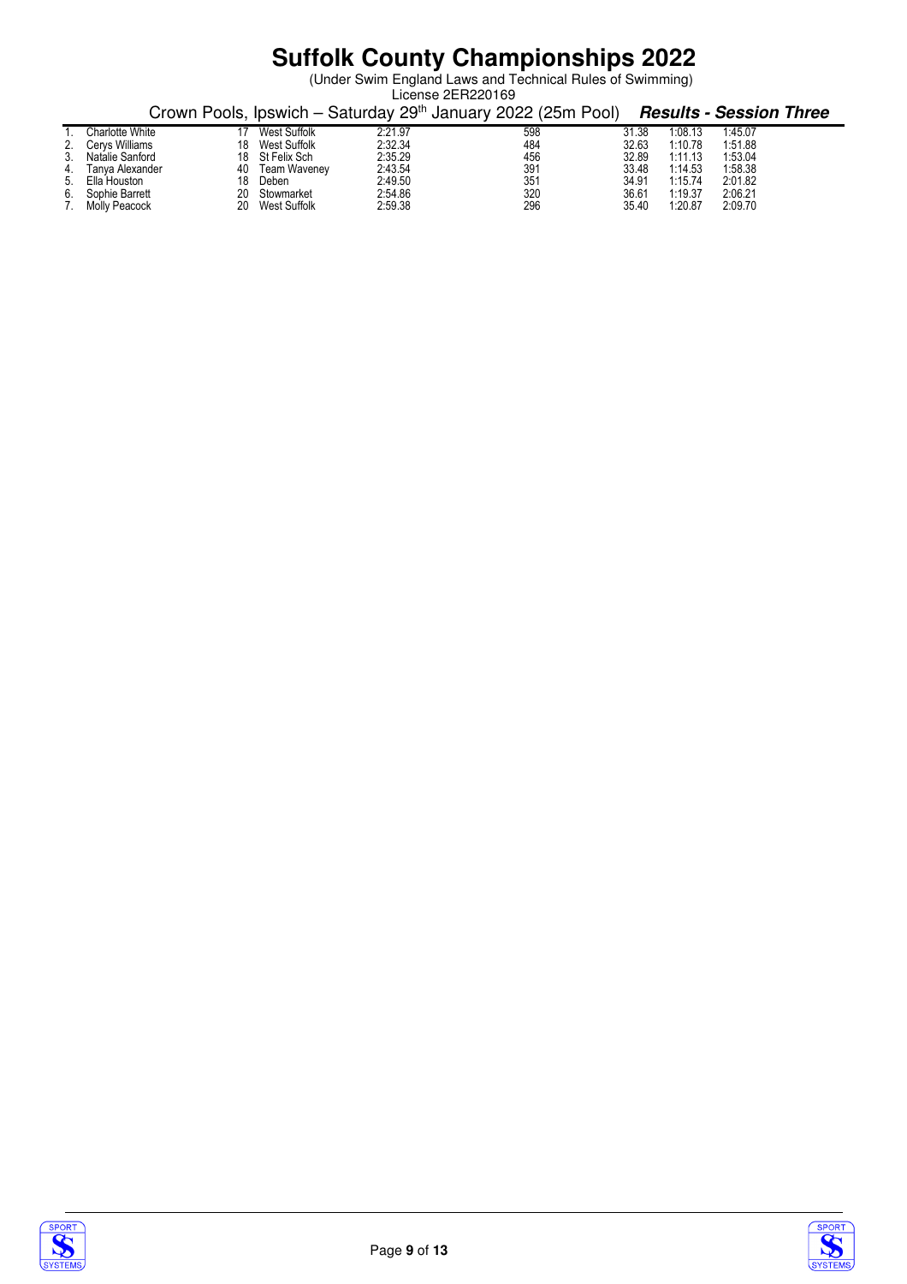|    |                   |    |                 |         | License 2ER220169                                                        |       |         |                                |
|----|-------------------|----|-----------------|---------|--------------------------------------------------------------------------|-------|---------|--------------------------------|
|    |                   |    |                 |         | Crown Pools, Ipswich – Saturday 29 <sup>th</sup> January 2022 (25m Pool) |       |         | <b>Results - Session Three</b> |
|    | Charlotte White   |    | West Suffolk    | 2:21.97 | 598                                                                      | 31.38 | 1:08.13 | 1:45.07                        |
|    | 2. Cervs Williams | 18 | West Suffolk    | 2:32.34 | 484                                                                      | 32.63 | 1:10.78 | 1:51.88                        |
| 3. | Natalie Sanford   | 18 | St Felix Sch    | 2:35.29 | 456                                                                      | 32.89 | 1:11.13 | 1:53.04                        |
| 4. | Tanya Alexander   | 40 | Team Waveney    | 2:43.54 | 391                                                                      | 33.48 | 1:14.53 | 1:58.38                        |
|    | 5. Ella Houston   | 18 | Deben           | 2:49.50 | 351                                                                      | 34.91 | 1:15.74 | 2:01.82                        |
|    | 6. Sophie Barrett | 20 | Stowmarket      | 2:54.86 | 320                                                                      | 36.61 | 1:19.37 | 2:06.21                        |
|    | 7. Molly Peacock  |    | 20 West Suffolk | 2:59.38 | 296                                                                      | 35.40 | 1:20.87 | 2:09.70                        |



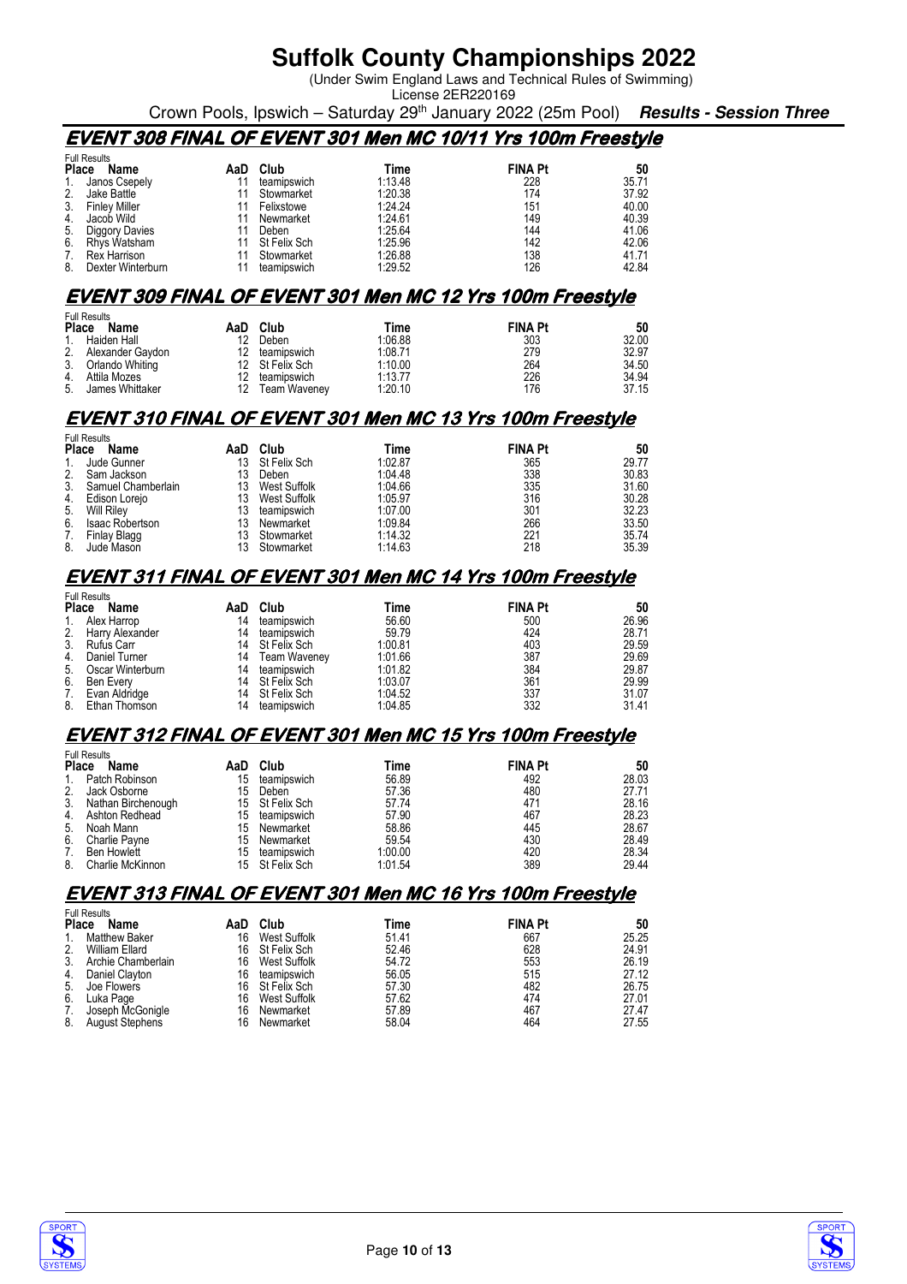(Under Swim England Laws and Technical Rules of Swimming)

License 2ER220169

Crown Pools, Ipswich – Saturday 29th January 2022 (25m Pool) **Results - Session Three**

### **EVENT 308 FINAL OF EVENT 301 Men MC 10/11 Yrs 100m Freestyle**

|              | <b>Full Results</b>  |     |              |         |                |       |
|--------------|----------------------|-----|--------------|---------|----------------|-------|
| <b>Place</b> | Name                 | AaD | Club         | Time    | <b>FINA Pt</b> | 50    |
|              | Janos Csepely        |     | teamipswich  | 1:13.48 | 228            | 35.71 |
|              | Jake Battle          |     | Stowmarket   | 1:20.38 | 174            | 37.92 |
| 3.           | <b>Finley Miller</b> |     | Felixstowe   | 1:24.24 | 151            | 40.00 |
| 4.           | Jacob Wild           |     | Newmarket    | 1:24.61 | 149            | 40.39 |
| 5.           | Diggory Davies       |     | Deben        | 1:25.64 | 144            | 41.06 |
| 6.           | Rhys Watsham         |     | St Felix Sch | 1.25.96 | 142            | 42.06 |
| 7.           | <b>Rex Harrison</b>  |     | Stowmarket   | 1:26.88 | 138            | 41.71 |
| 8.           | Dexter Winterburn    |     | teamipswich  | 1:29.52 | 126            | 42.84 |

#### **EVENT 309 FINAL OF EVENT 301 Men MC 12 Yrs 100m Freestyle**

|              | <b>Full Results</b> |     |                     |         |                |       |
|--------------|---------------------|-----|---------------------|---------|----------------|-------|
| Place        | Name                | AaD | Club                | Time    | <b>FINA Pt</b> | 50    |
| $\mathbf{1}$ | Haiden Hall         | 12  | Deben               | 1:06.88 | 303            | 32.00 |
| 2.           | Alexander Gaydon    | 12  | teamipswich         | 1:08.71 | 279            | 32.97 |
| 3.           | Orlando Whiting     |     | 12 St Felix Sch     | 1:10.00 | 264            | 34.50 |
| 4.           | Attila Mozes        | 12  | teamipswich         | 1:13.77 | 226            | 34.94 |
| 5.           | James Whittaker     | 12  | <b>Team Wavenev</b> | 1:20.10 | 176            | 37.15 |

### **EVENT 310 FINAL OF EVENT 301 Men MC 13 Yrs 100m Freestyle**

|         | <b>Full Results</b>    |     |              |         |                |       |
|---------|------------------------|-----|--------------|---------|----------------|-------|
| Place   | Name                   | AaD | Club         | Time    | <b>FINA Pt</b> | 50    |
| $1_{-}$ | Jude Gunner            | 13  | St Felix Sch | 1:02.87 | 365            | 29.77 |
| 2.      | Sam Jackson            | 13. | Deben        | 1:04.48 | 338            | 30.83 |
| 3.      | Samuel Chamberlain     | 13  | West Suffolk | 1.04.66 | 335            | 31.60 |
| 4.      | Edison Lorejo          | 13  | West Suffolk | 1:05.97 | 316            | 30.28 |
| 5.      | <b>Will Riley</b>      | 13. | teamipswich  | 1:07.00 | 301            | 32.23 |
| 6.      | <b>Isaac Robertson</b> | 13  | Newmarket    | 1:09.84 | 266            | 33.50 |
| 7.      | Finlay Blagg           | 13. | Stowmarket   | 1:14.32 | 221            | 35.74 |
| 8.      | Jude Mason             |     | Stowmarket   | 1:14.63 | 218            | 35.39 |

### **EVENT 311 FINAL OF EVENT 301 Men MC 14 Yrs 100m Freestyle**

|                | <b>Full Results</b> |     |                 |         |                |       |
|----------------|---------------------|-----|-----------------|---------|----------------|-------|
| Place          | Name                | AaD | Club            | Time    | <b>FINA Pt</b> | 50    |
| $\mathbf{1}$ . | Alex Harrop         | 14  | teamipswich     | 56.60   | 500            | 26.96 |
| 2.             | Harry Alexander     | 14  | teamipswich     | 59.79   | 424            | 28.71 |
|                | 3. Rufus Carr       |     | 14 St Felix Sch | 1:00.81 | 403            | 29.59 |
| 4.             | Daniel Turner       |     | 14 Team Waveney | 1:01.66 | 387            | 29.69 |
| 5.             | Oscar Winterburn    | 14  | teamipswich     | 1:01.82 | 384            | 29.87 |
| 6.             | Ben Everv           |     | 14 St Felix Sch | 1:03.07 | 361            | 29.99 |
| 7.             | Evan Aldridge       |     | 14 St Felix Sch | 1:04.52 | 337            | 31.07 |
| 8.             | Ethan Thomson       | 14  | teamipswich     | 1:04.85 | 332            | 31.41 |

### **EVENT 312 FINAL OF EVENT 301 Men MC 15 Yrs 100m Freestyle**

|              | <b>Full Results</b> |     |                 |         |                |       |
|--------------|---------------------|-----|-----------------|---------|----------------|-------|
| <b>Place</b> | Name                | AaD | Club            | Time    | <b>FINA Pt</b> | 50    |
|              | Patch Robinson      | 15  | teamipswich     | 56.89   | 492            | 28.03 |
|              | Jack Osborne        | 15  | Deben           | 57.36   | 480            | 27.71 |
| 3.           | Nathan Birchenough  |     | 15 St Felix Sch | 57.74   | 471            | 28.16 |
| 4.           | Ashton Redhead      | 15  | teamipswich     | 57.90   | 467            | 28.23 |
| 5.           | Noah Mann           | 15  | Newmarket       | 58.86   | 445            | 28.67 |
| 6.           | Charlie Payne       | 15  | Newmarket       | 59.54   | 430            | 28.49 |
| 7.           | <b>Ben Howlett</b>  | 15  | teamipswich     | 1:00.00 | 420            | 28.34 |
| 8.           | Charlie McKinnon    |     | 15 St Felix Sch | 1:01.54 | 389            | 29.44 |

### **EVENT 313 FINAL OF EVENT 301 Men MC 16 Yrs 100m Freestyle**

|                | <b>Full Results</b>    |     |              |       |                |       |
|----------------|------------------------|-----|--------------|-------|----------------|-------|
| <b>Place</b>   | Name                   | AaD | Club         | Time  | <b>FINA Pt</b> | 50    |
| $\mathbf{1}$ . | <b>Matthew Baker</b>   | 16  | West Suffolk | 51.41 | 667            | 25.25 |
| 2.             | William Ellard         | 16  | St Felix Sch | 52.46 | 628            | 24.91 |
| 3.             | Archie Chamberlain     | 16  | West Suffolk | 54.72 | 553            | 26.19 |
| 4.             | Daniel Clayton         | 16  | teamipswich  | 56.05 | 515            | 27.12 |
| 5.             | Joe Flowers            | 16  | St Felix Sch | 57.30 | 482            | 26.75 |
| 6.             | Luka Page              | 16  | West Suffolk | 57.62 | 474            | 27.01 |
| 7.             | Joseph McGonigle       | 16  | Newmarket    | 57.89 | 467            | 27.47 |
| 8.             | <b>August Stephens</b> | 16  | Newmarket    | 58.04 | 464            | 27.55 |



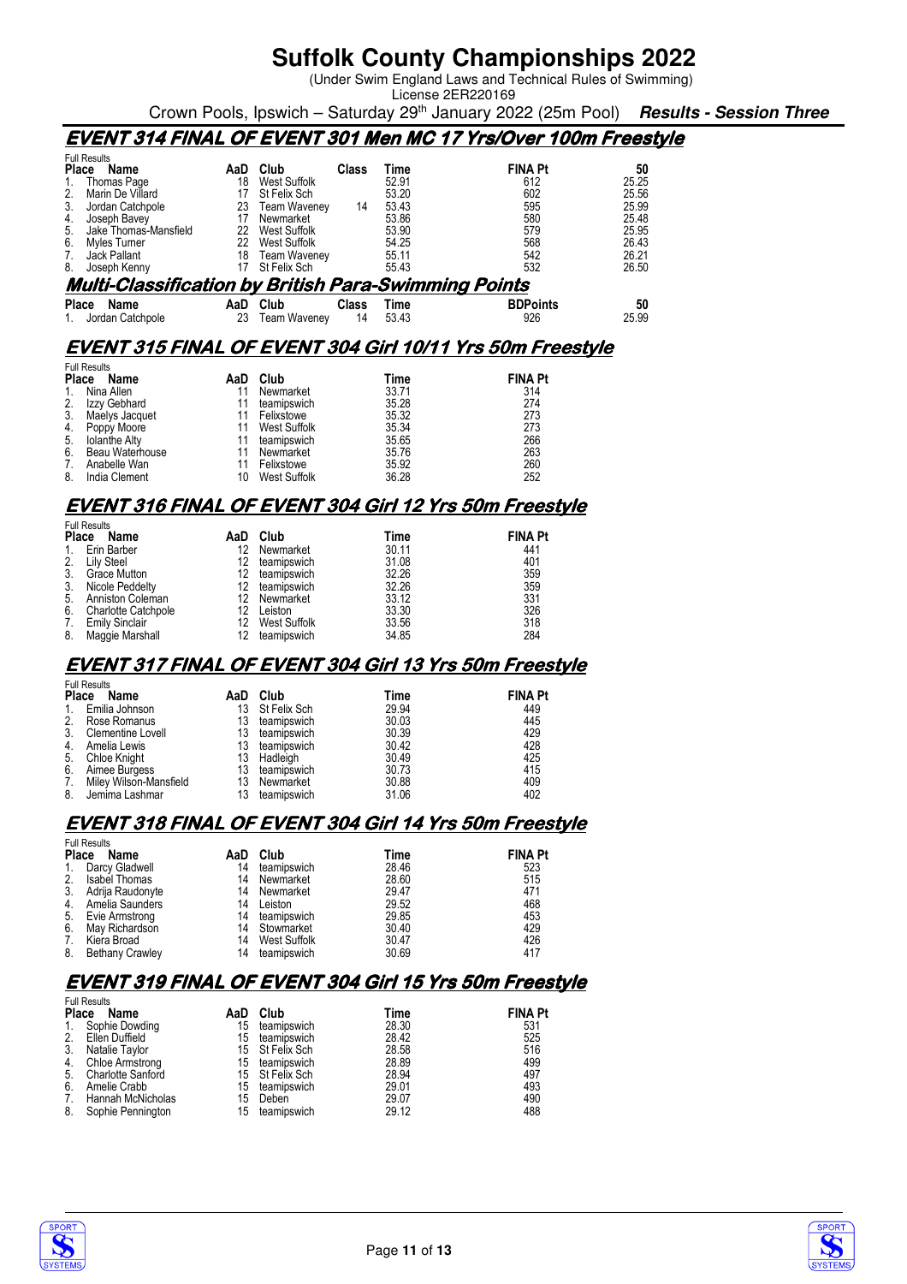(Under Swim England Laws and Technical Rules of Swimming) License 2ER220169

Crown Pools, Ipswich – Saturday 29th January 2022 (25m Pool) **Results - Session Three**

### **EVENT 314 FINAL OF EVENT 301 Men MC 17 Yrs/Over 100m Freestyle**

| <b>Full Results</b>                                         |     |                     |              |       |                                                                  |       |
|-------------------------------------------------------------|-----|---------------------|--------------|-------|------------------------------------------------------------------|-------|
| Place<br>Name                                               | AaD | Club                | <b>Class</b> | Time  | <b>FINA Pt</b>                                                   | 50    |
| Thomas Page                                                 | 18  | West Suffolk        |              | 52.91 | 612                                                              | 25.25 |
| 2.<br>Marin De Villard                                      | 17  | St Felix Sch        |              | 53.20 | 602                                                              | 25.56 |
| 3.<br>Jordan Catchpole                                      | 23  | Team Waveney        | 14           | 53.43 | 595                                                              | 25.99 |
| Joseph Bavey<br>4.                                          | 17  | Newmarket           |              | 53.86 | 580                                                              | 25.48 |
| 5.<br>Jake Thomas-Mansfield                                 | 22  | <b>West Suffolk</b> |              | 53.90 | 579                                                              | 25.95 |
| 6.<br>Myles Turner                                          | 22  | <b>West Suffolk</b> |              | 54.25 | 568                                                              | 26.43 |
| Jack Pallant<br>7.                                          | 18  | Team Waveney        |              | 55.11 | 542                                                              | 26.21 |
| 8.<br>Joseph Kenny                                          | 17  | St Felix Sch        |              | 55.43 | 532                                                              | 26.50 |
| <b>Multi-Classification by British Para-Swimming Points</b> |     |                     |              |       |                                                                  |       |
| Place<br>Name                                               | AaD | Club                | <b>Class</b> | Time  | <b>BDPoints</b>                                                  | 50    |
| Jordan Catchpole                                            | 23  | <b>Team Waveney</b> | 14           | 53.43 | 926                                                              | 25.99 |
|                                                             |     |                     |              |       |                                                                  |       |
|                                                             |     |                     |              |       | <b>EVENT 315 FINAL OF EVENT 304 Girl 10/11 Yrs 50m Freestyle</b> |       |
| <b>Full Results</b>                                         |     |                     |              |       |                                                                  |       |
| Place<br>Name                                               | AaD | Club                |              | Time  | <b>FINA Pt</b>                                                   |       |
| Nina Allen<br>1.                                            | 11  | Newmarket           |              | 33.71 | 314                                                              |       |
| 2.<br>Izzy Gebhard                                          | 11  | teamipswich         |              | 35.28 | 274                                                              |       |
| 3.<br>Maelys Jacquet                                        | 11  | Felixstowe          |              | 35.32 | 273                                                              |       |
| Poppy Moore<br>4.                                           | 11  | West Suffolk        |              | 35.34 | 273                                                              |       |
| 5.<br><b>Iolanthe Alty</b>                                  | 11  | teamipswich         |              | 35.65 | 266                                                              |       |
| 6.<br>Beau Waterhouse                                       | 11  | Newmarket           |              | 35.76 | 263                                                              |       |
| 7.<br>Anabelle Wan                                          | 11  | Felixstowe          |              | 35.92 | 260                                                              |       |
| 8.<br>India Clement                                         | 10  | West Suffolk        |              | 36.28 | 252                                                              |       |

### **EVENT 316 FINAL OF EVENT 304 Girl 12 Yrs 50m Freestyle**

|             | <b>Full Results</b>        |     |                |       |                |  |  |
|-------------|----------------------------|-----|----------------|-------|----------------|--|--|
| Place       | Name                       | AaD | Club           | Time  | <b>FINA Pt</b> |  |  |
| $1_{\cdot}$ | Erin Barber                | 12. | Newmarket      | 30.11 | 441            |  |  |
| 2.          | Lily Steel                 | 12  | teamipswich    | 31.08 | 401            |  |  |
| 3.          | Grace Mutton               | 12  | teamipswich    | 32.26 | 359            |  |  |
| 3.          | Nicole Peddelty            |     | 12 teamipswich | 32.26 | 359            |  |  |
|             | 5. Anniston Coleman        | 12. | Newmarket      | 33.12 | 331            |  |  |
| 6.          | <b>Charlotte Catchpole</b> | 12  | Leiston        | 33.30 | 326            |  |  |
| 7.          | Emily Sinclair             | 12. | West Suffolk   | 33.56 | 318            |  |  |
| 8.          | Maggie Marshall            | 12  | teamipswich    | 34.85 | 284            |  |  |

### **EVENT 317 FINAL OF EVENT 304 Girl 13 Yrs 50m Freestyle**

| i uli NGOURO |                        |     |                |       |                |  |
|--------------|------------------------|-----|----------------|-------|----------------|--|
| Place        | Name                   | AaD | Club           | Time  | <b>FINA Pt</b> |  |
| 1.           | Emilia Johnson         | 13  | St Felix Sch   | 29.94 | 449            |  |
|              | 2. Rose Romanus        | 13  | teamipswich    | 30.03 | 445            |  |
| 3.           | Clementine Lovell      |     | 13 teamipswich | 30.39 | 429            |  |
| 4.           | Amelia Lewis           |     | 13 teamipswich | 30.42 | 428            |  |
| 5.           | Chloe Knight           |     | 13 Hadleigh    | 30.49 | 425            |  |
| 6.           | Aimee Burgess          |     | 13 teamipswich | 30.73 | 415            |  |
| 7.           | Miley Wilson-Mansfield | 13  | Newmarket      | 30.88 | 409            |  |
| 8.           | Jemima Lashmar         | 13  | teamipswich    | 31.06 | 402            |  |

### **EVENT 318 FINAL OF EVENT 304 Girl 14 Yrs 50m Freestyle**

| <b>Full Results</b>    |                                                                       |              |                              |                |  |  |  |
|------------------------|-----------------------------------------------------------------------|--------------|------------------------------|----------------|--|--|--|
| Name                   | AaD                                                                   | Club         | Time                         | <b>FINA Pt</b> |  |  |  |
| Darcy Gladwell         | 14                                                                    |              | 28.46                        | 523            |  |  |  |
| <b>Isabel Thomas</b>   | 14                                                                    | Newmarket    | 28.60                        | 515            |  |  |  |
|                        | 14                                                                    | Newmarket    | 29.47                        | 471            |  |  |  |
|                        | 14                                                                    | Leiston      | 29.52                        | 468            |  |  |  |
|                        | 14                                                                    | teamipswich  | 29.85                        | 453            |  |  |  |
| May Richardson         |                                                                       |              | 30.40                        | 429            |  |  |  |
| Kiera Broad            | 14                                                                    | West Suffolk | 30.47                        | 426            |  |  |  |
| <b>Bethany Crawley</b> | 14                                                                    | teamipswich  | 30.69                        | 417            |  |  |  |
|                        | <b>Place</b><br>Adrija Raudonyte<br>Amelia Saunders<br>Evie Armstrong |              | teamipswich<br>14 Stowmarket |                |  |  |  |

### **EVENT 319 FINAL OF EVENT 304 Girl 15 Yrs 50m Freestyle**

| <b>Full Results</b>      |                                   |             |                                                      |                |  |  |  |
|--------------------------|-----------------------------------|-------------|------------------------------------------------------|----------------|--|--|--|
| Name                     | AaD                               | Club        | Time                                                 | <b>FINA Pt</b> |  |  |  |
| Sophie Dowding           | 15                                | teamipswich | 28.30                                                | 531            |  |  |  |
| Ellen Duffield           | 15                                | teamipswich | 28.42                                                | 525            |  |  |  |
| Natalie Taylor           |                                   |             | 28.58                                                | 516            |  |  |  |
| Chloe Armstrong          |                                   |             | 28.89                                                | 499            |  |  |  |
| <b>Charlotte Sanford</b> |                                   |             | 28.94                                                | 497            |  |  |  |
| Amelie Crabb             | 15                                | teamipswich | 29.01                                                | 493            |  |  |  |
| Hannah McNicholas        | 15                                | Deben       | 29.07                                                | 490            |  |  |  |
|                          | 15                                | teamipswich | 29.12                                                | 488            |  |  |  |
|                          | <b>Place</b><br>Sophie Pennington |             | 15 St Felix Sch<br>15 teamipswich<br>15 St Felix Sch |                |  |  |  |



 $F_{\rm eff}$ 

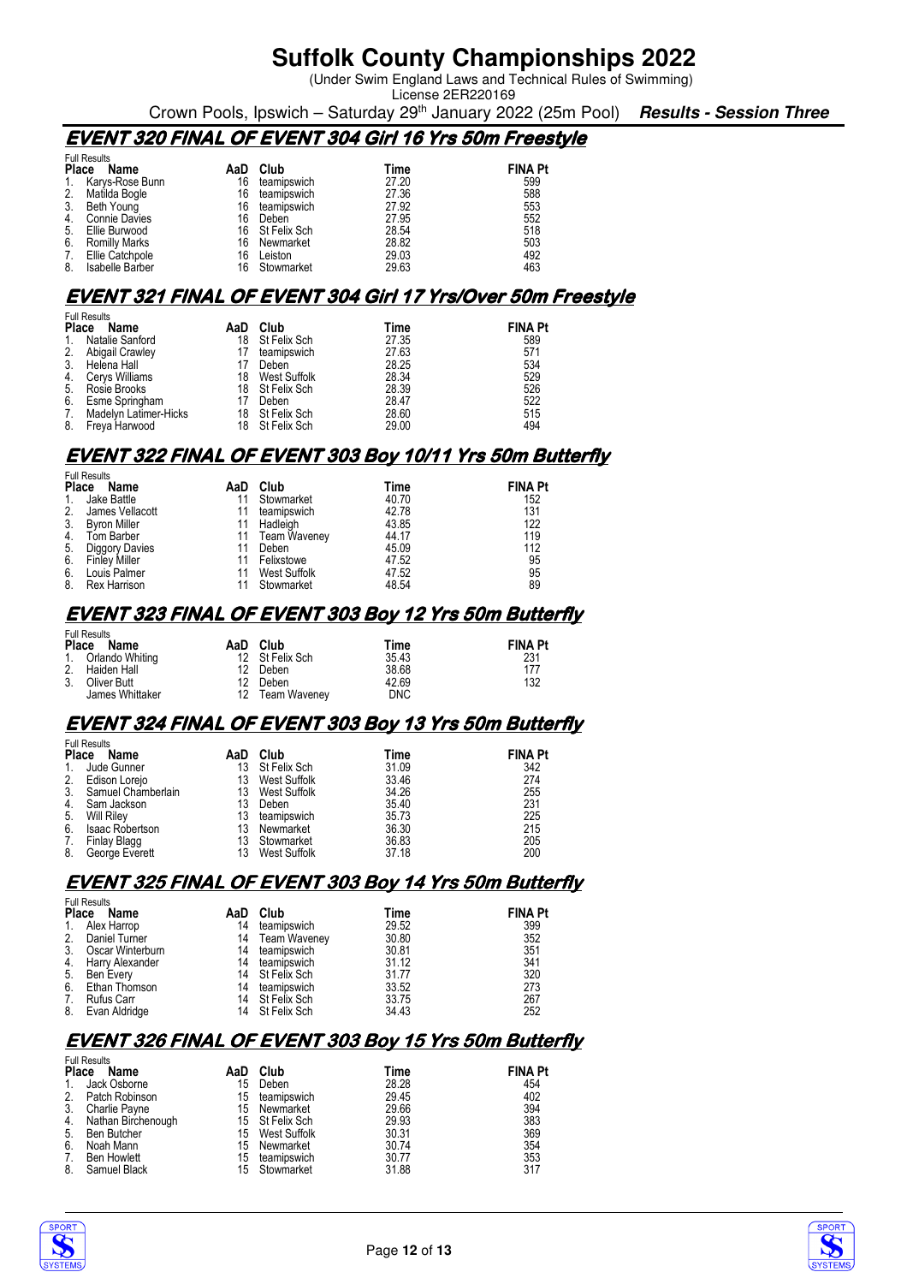(Under Swim England Laws and Technical Rules of Swimming) License 2ER220169

Crown Pools, Ipswich – Saturday 29th January 2022 (25m Pool) **Results - Session Three**

### **EVENT 320 FINAL OF EVENT 304 Girl 16 Yrs 50m Freestyle**

|                | <b>Full Results</b>  |     |                 |       |                |  |  |  |
|----------------|----------------------|-----|-----------------|-------|----------------|--|--|--|
| <b>Place</b>   | Name                 | AaD | Club            | Time  | <b>FINA Pt</b> |  |  |  |
| $\mathbf{1}$ . | Karvs-Rose Bunn      | 16  | teamipswich     | 27.20 | 599            |  |  |  |
| 2.             | Matilda Bogle        | 16  | teamipswich     | 27.36 | 588            |  |  |  |
| 3.             | Beth Young           | 16  | teamipswich     | 27.92 | 553            |  |  |  |
| 4.             | <b>Connie Davies</b> | 16  | Deben           | 27.95 | 552            |  |  |  |
| 5.             | Ellie Burwood        |     | 16 St Felix Sch | 28.54 | 518            |  |  |  |
| 6.             | <b>Romilly Marks</b> | 16  | Newmarket       | 28.82 | 503            |  |  |  |
| 7.             | Ellie Catchpole      | 16  | Leiston         | 29.03 | 492            |  |  |  |
| 8.             | Isabelle Barber      | 16  | Stowmarket      | 29.63 | 463            |  |  |  |

#### **EVENT 321 FINAL OF EVENT 304 Girl 17 Yrs/Over 50m Freestyle**

| <b>Full Results</b> |  |  |  |  |  |
|---------------------|--|--|--|--|--|
| <b>FINA Pt</b>      |  |  |  |  |  |
|                     |  |  |  |  |  |
|                     |  |  |  |  |  |
|                     |  |  |  |  |  |
|                     |  |  |  |  |  |
|                     |  |  |  |  |  |
|                     |  |  |  |  |  |
|                     |  |  |  |  |  |
|                     |  |  |  |  |  |
| 522                 |  |  |  |  |  |

#### **EVENT 322 FINAL OF EVENT 303 Boy 10/11 Yrs 50m Butterfly**

| <b>Full Results</b>  |                      |     |                 |       |                |
|----------------------|----------------------|-----|-----------------|-------|----------------|
| <b>Place</b><br>Name |                      | AaD | Club            | Time  | <b>FINA Pt</b> |
| $1_{\cdot}$          | Jake Battle          |     | Stowmarket      | 40.70 | 152            |
| 2.                   | James Vellacott      |     | teamipswich     | 42.78 | 131            |
| 3 <sub>1</sub>       | <b>Byron Miller</b>  | 11  | Hadleigh        | 43.85 | 122            |
| 4.                   | Tom Barber           |     | 11 Team Waveney | 44.17 | 119            |
| 5.                   | Diggory Davies       |     | Deben           | 45.09 | 112            |
| 6.                   | <b>Finley Miller</b> |     | Felixstowe      | 47.52 | 95             |
| 6.                   | Louis Palmer         |     | West Suffolk    | 47.52 | 95             |
| 8.                   | Rex Harrison         |     | Stowmarket      | 48.54 | 89             |

#### **EVENT 323 FINAL OF EVENT 303 Boy 12 Yrs 50m Butterfly**

| <b>Full Results</b><br>Place<br>Name | AaD Club        | Time       | <b>FINA Pt</b> |
|--------------------------------------|-----------------|------------|----------------|
| 1. Orlando Whiting                   | 12 St Felix Sch | 35.43      | 231            |
| 2. Haiden Hall                       | 12 Deben        | 38.68      | 177            |
| 3. Oliver Butt                       | 12 Deben        | 42.69      | 132            |
| James Whittaker                      | 12 Team Waveney | <b>DNC</b> |                |

#### **EVENT 324 FINAL OF EVENT 303 Boy 13 Yrs 50m Butterfly**

| <b>Full Results</b> |                       |     |                 |       |                |
|---------------------|-----------------------|-----|-----------------|-------|----------------|
| Place               | Name                  | AaD | Club            | Time  | <b>FINA Pt</b> |
| $\mathbf{1}$ .      | Jude Gunner           | 13  | St Felix Sch    | 31.09 | 342            |
| 2.                  | Edison Lorejo         | 13  | West Suffolk    | 33.46 | 274            |
|                     | 3. Samuel Chamberlain |     | 13 West Suffolk | 34.26 | 255            |
| 4.                  | Sam Jackson           | 13  | Deben           | 35.40 | 231            |
| 5.                  | <b>Will Riley</b>     | 13  | teamipswich     | 35.73 | 225            |
| 6.                  | Isaac Robertson       | 13  | Newmarket       | 36.30 | 215            |
| 7.                  | Finlay Blagg          | 13  | Stowmarket      | 36.83 | 205            |
| 8.                  | George Everett        | 13  | West Suffolk    | 37.18 | 200            |

#### **EVENT 325 FINAL OF EVENT 303 Boy 14 Yrs 50m Butterfly**

|             | <b>Full Results</b> |     |                 |       |                |  |
|-------------|---------------------|-----|-----------------|-------|----------------|--|
| Place       | Name                | AaD | Club            | Time  | <b>FINA Pt</b> |  |
| $1_{\cdot}$ | Alex Harrop         | 14  | teamipswich     | 29.52 | 399            |  |
| 2.          | Daniel Turner       |     | 14 Team Waveney | 30.80 | 352            |  |
| 3.          | Oscar Winterburn    |     | 14 teamipswich  | 30.81 | 351            |  |
| 4.          | Harry Alexander     | 14  | teamipswich     | 31.12 | 341            |  |
| 5.          | Ben Every           |     | 14 St Felix Sch | 31.77 | 320            |  |
| 6.          | Ethan Thomson       | 14  | teamipswich     | 33.52 | 273            |  |
| 7.          | Rufus Carr          |     | 14 St Felix Sch | 33.75 | 267            |  |
| 8.          | Evan Aldridge       |     | 14 St Felix Sch | 34.43 | 252            |  |

### **EVENT 326 FINAL OF EVENT 303 Boy 15 Yrs 50m Butterfly**

|              | <b>Full Results</b> |     |                 |       |                |
|--------------|---------------------|-----|-----------------|-------|----------------|
| <b>Place</b> | Name                | AaD | Club            | Time  | <b>FINA Pt</b> |
| $1_{\cdot}$  | Jack Osborne        | 15  | Deben           | 28.28 | 454            |
| 2.           | Patch Robinson      |     | 15 teamipswich  | 29.45 | 402            |
| 3.           | Charlie Payne       |     | 15 Newmarket    | 29.66 | 394            |
| 4.           | Nathan Birchenough  |     | 15 St Felix Sch | 29.93 | 383            |
| 5.           | Ben Butcher         |     | 15 West Suffolk | 30.31 | 369            |
| 6.           | Noah Mann           |     | 15 Newmarket    | 30.74 | 354            |
| 7.           | <b>Ben Howlett</b>  | 15  | teamipswich     | 30.77 | 353            |
| 8.           | Samuel Black        |     | 15 Stowmarket   | 31.88 | 317            |